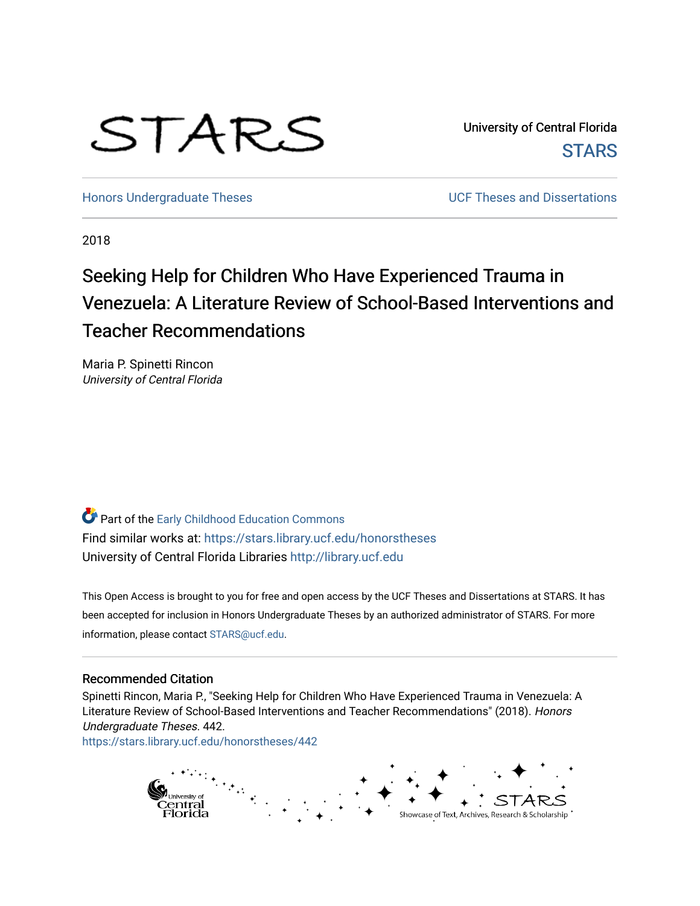# STARS

University of Central Florida **STARS** 

[Honors Undergraduate Theses](https://stars.library.ucf.edu/honorstheses) **No. 2018** UCF Theses and Dissertations

2018

# Seeking Help for Children Who Have Experienced Trauma in Venezuela: A Literature Review of School-Based Interventions and Teacher Recommendations

Maria P. Spinetti Rincon University of Central Florida

**Part of the Early Childhood Education Commons** Find similar works at: <https://stars.library.ucf.edu/honorstheses> University of Central Florida Libraries [http://library.ucf.edu](http://library.ucf.edu/) 

This Open Access is brought to you for free and open access by the UCF Theses and Dissertations at STARS. It has been accepted for inclusion in Honors Undergraduate Theses by an authorized administrator of STARS. For more information, please contact [STARS@ucf.edu.](mailto:STARS@ucf.edu)

#### Recommended Citation

Spinetti Rincon, Maria P., "Seeking Help for Children Who Have Experienced Trauma in Venezuela: A Literature Review of School-Based Interventions and Teacher Recommendations" (2018). Honors Undergraduate Theses. 442.

[https://stars.library.ucf.edu/honorstheses/442](https://stars.library.ucf.edu/honorstheses/442?utm_source=stars.library.ucf.edu%2Fhonorstheses%2F442&utm_medium=PDF&utm_campaign=PDFCoverPages) 

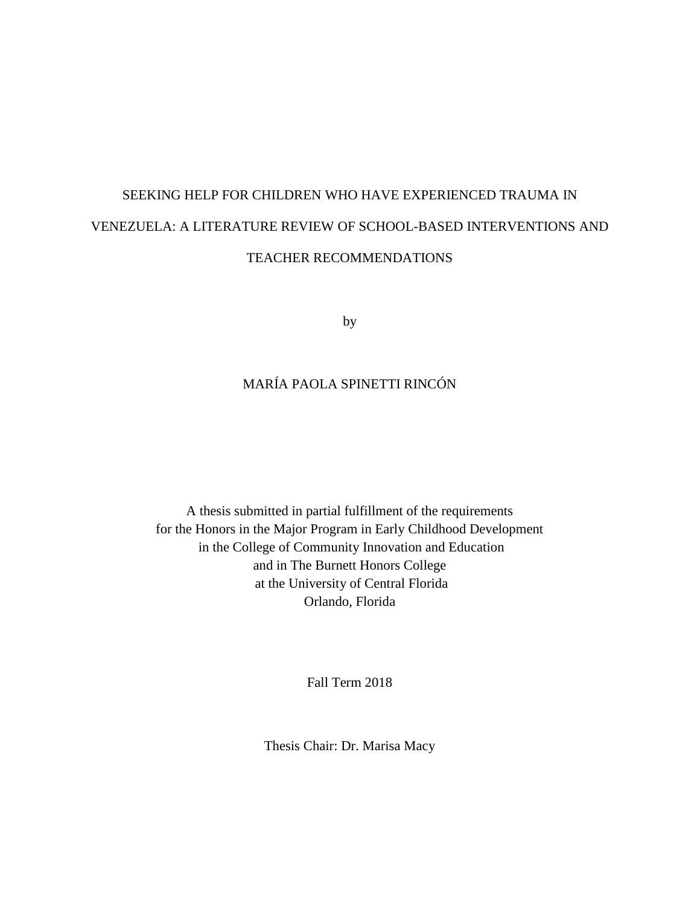# SEEKING HELP FOR CHILDREN WHO HAVE EXPERIENCED TRAUMA IN VENEZUELA: A LITERATURE REVIEW OF SCHOOL-BASED INTERVENTIONS AND TEACHER RECOMMENDATIONS

by

## MARÍA PAOLA SPINETTI RINCÓN

A thesis submitted in partial fulfillment of the requirements for the Honors in the Major Program in Early Childhood Development in the College of Community Innovation and Education and in The Burnett Honors College at the University of Central Florida Orlando, Florida

Fall Term 2018

Thesis Chair: Dr. Marisa Macy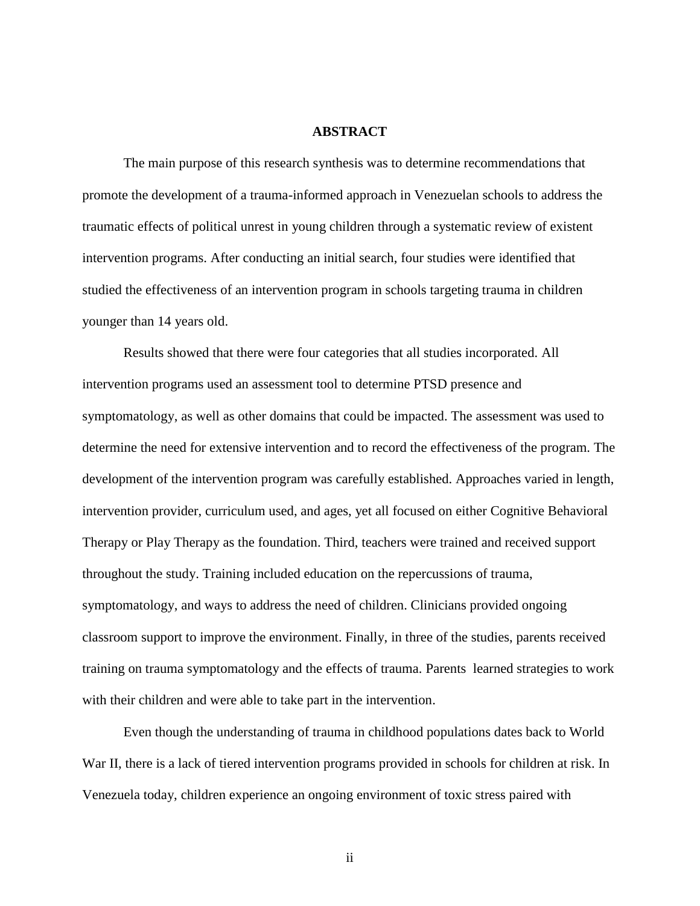#### **ABSTRACT**

<span id="page-2-0"></span>The main purpose of this research synthesis was to determine recommendations that promote the development of a trauma-informed approach in Venezuelan schools to address the traumatic effects of political unrest in young children through a systematic review of existent intervention programs. After conducting an initial search, four studies were identified that studied the effectiveness of an intervention program in schools targeting trauma in children younger than 14 years old.

Results showed that there were four categories that all studies incorporated. All intervention programs used an assessment tool to determine PTSD presence and symptomatology, as well as other domains that could be impacted. The assessment was used to determine the need for extensive intervention and to record the effectiveness of the program. The development of the intervention program was carefully established. Approaches varied in length, intervention provider, curriculum used, and ages, yet all focused on either Cognitive Behavioral Therapy or Play Therapy as the foundation. Third, teachers were trained and received support throughout the study. Training included education on the repercussions of trauma, symptomatology, and ways to address the need of children. Clinicians provided ongoing classroom support to improve the environment. Finally, in three of the studies, parents received training on trauma symptomatology and the effects of trauma. Parents learned strategies to work with their children and were able to take part in the intervention.

Even though the understanding of trauma in childhood populations dates back to World War II, there is a lack of tiered intervention programs provided in schools for children at risk. In Venezuela today, children experience an ongoing environment of toxic stress paired with

ii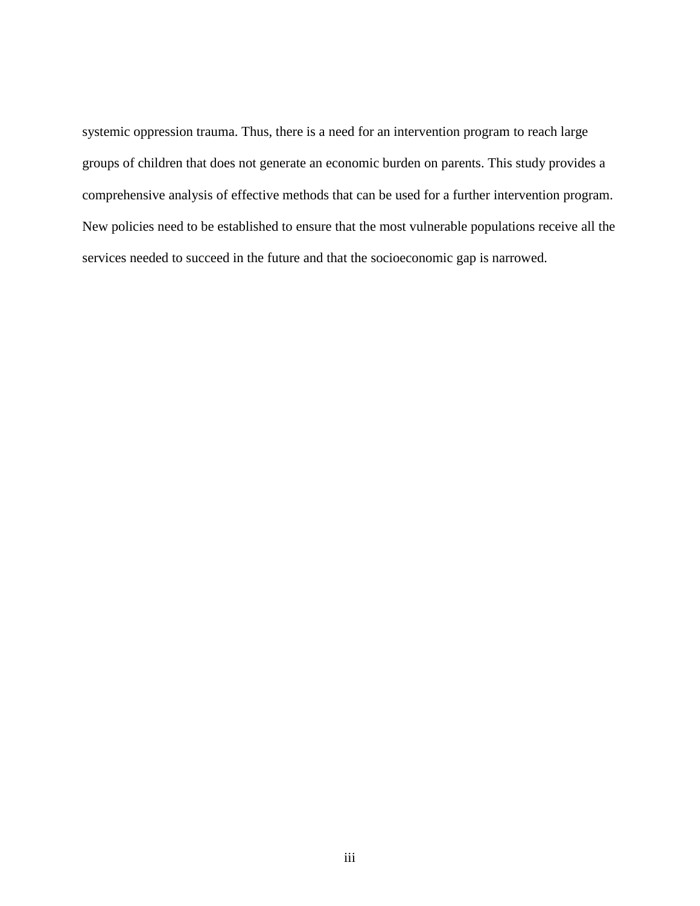systemic oppression trauma. Thus, there is a need for an intervention program to reach large groups of children that does not generate an economic burden on parents. This study provides a comprehensive analysis of effective methods that can be used for a further intervention program. New policies need to be established to ensure that the most vulnerable populations receive all the services needed to succeed in the future and that the socioeconomic gap is narrowed.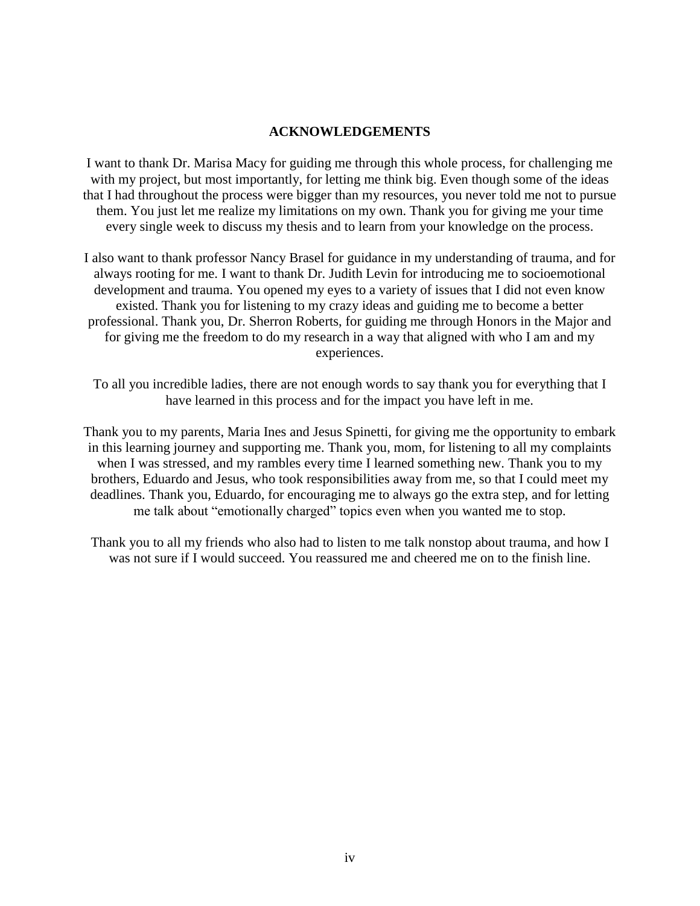#### **ACKNOWLEDGEMENTS**

<span id="page-4-0"></span>I want to thank Dr. Marisa Macy for guiding me through this whole process, for challenging me with my project, but most importantly, for letting me think big. Even though some of the ideas that I had throughout the process were bigger than my resources, you never told me not to pursue them. You just let me realize my limitations on my own. Thank you for giving me your time every single week to discuss my thesis and to learn from your knowledge on the process.

I also want to thank professor Nancy Brasel for guidance in my understanding of trauma, and for always rooting for me. I want to thank Dr. Judith Levin for introducing me to socioemotional development and trauma. You opened my eyes to a variety of issues that I did not even know existed. Thank you for listening to my crazy ideas and guiding me to become a better professional. Thank you, Dr. Sherron Roberts, for guiding me through Honors in the Major and for giving me the freedom to do my research in a way that aligned with who I am and my experiences.

To all you incredible ladies, there are not enough words to say thank you for everything that I have learned in this process and for the impact you have left in me.

Thank you to my parents, Maria Ines and Jesus Spinetti, for giving me the opportunity to embark in this learning journey and supporting me. Thank you, mom, for listening to all my complaints when I was stressed, and my rambles every time I learned something new. Thank you to my brothers, Eduardo and Jesus, who took responsibilities away from me, so that I could meet my deadlines. Thank you, Eduardo, for encouraging me to always go the extra step, and for letting me talk about "emotionally charged" topics even when you wanted me to stop.

Thank you to all my friends who also had to listen to me talk nonstop about trauma, and how I was not sure if I would succeed. You reassured me and cheered me on to the finish line.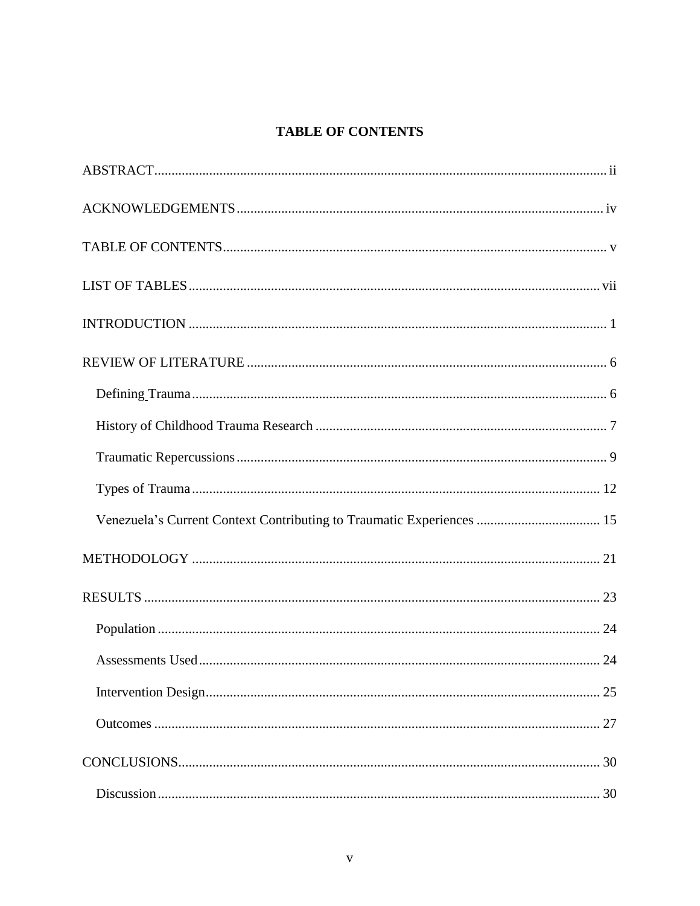## <span id="page-5-0"></span>**TABLE OF CONTENTS**

| Venezuela's Current Context Contributing to Traumatic Experiences  15 |  |
|-----------------------------------------------------------------------|--|
|                                                                       |  |
|                                                                       |  |
|                                                                       |  |
|                                                                       |  |
|                                                                       |  |
|                                                                       |  |
|                                                                       |  |
|                                                                       |  |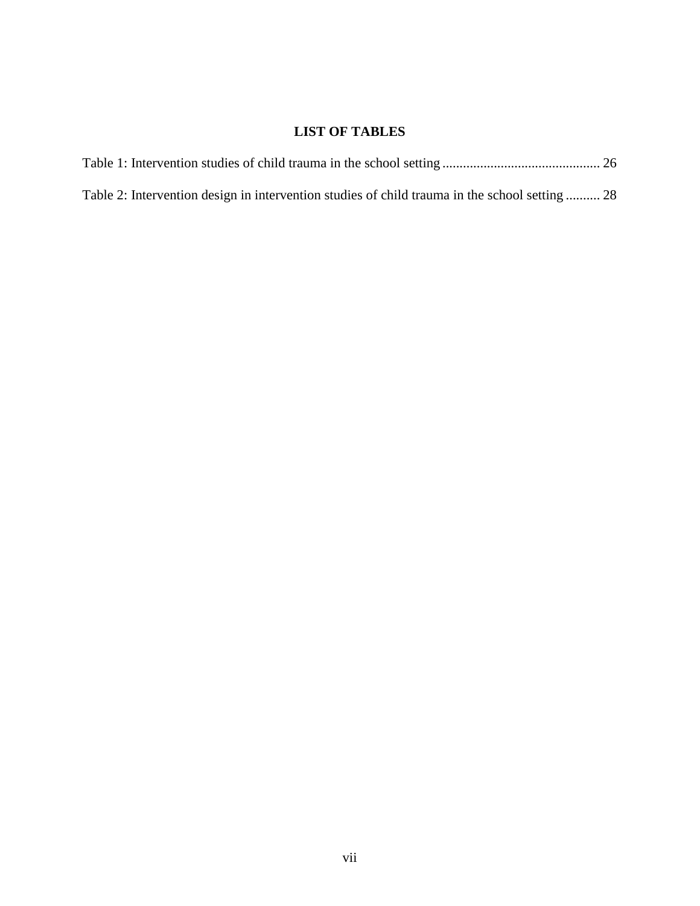## **LIST OF TABLES**

<span id="page-7-0"></span>

| Table 2: Intervention design in intervention studies of child trauma in the school setting  28 |  |
|------------------------------------------------------------------------------------------------|--|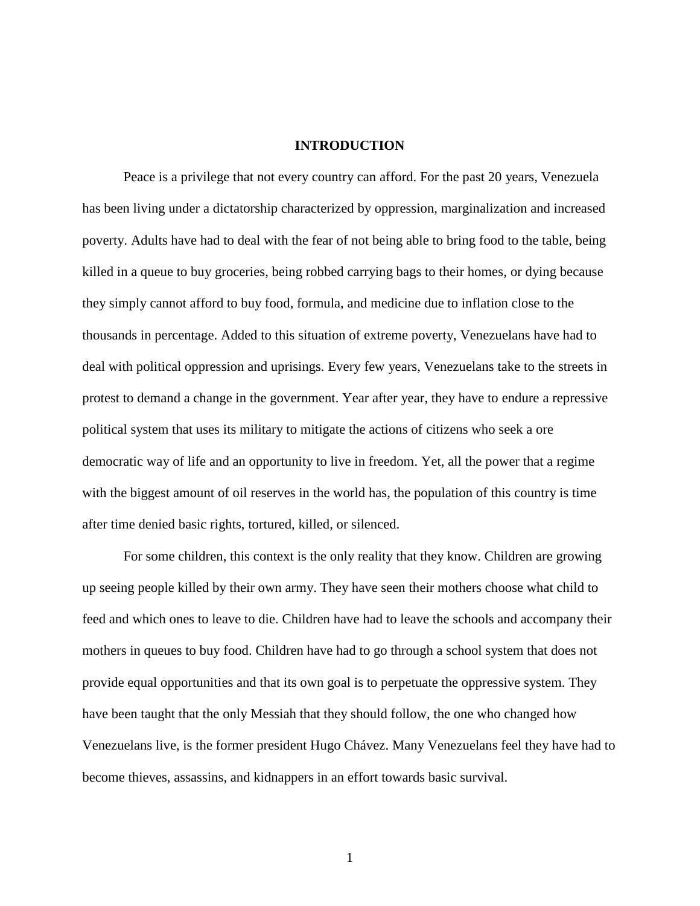#### **INTRODUCTION**

<span id="page-8-0"></span>Peace is a privilege that not every country can afford. For the past 20 years, Venezuela has been living under a dictatorship characterized by oppression, marginalization and increased poverty. Adults have had to deal with the fear of not being able to bring food to the table, being killed in a queue to buy groceries, being robbed carrying bags to their homes, or dying because they simply cannot afford to buy food, formula, and medicine due to inflation close to the thousands in percentage. Added to this situation of extreme poverty, Venezuelans have had to deal with political oppression and uprisings. Every few years, Venezuelans take to the streets in protest to demand a change in the government. Year after year, they have to endure a repressive political system that uses its military to mitigate the actions of citizens who seek a ore democratic way of life and an opportunity to live in freedom. Yet, all the power that a regime with the biggest amount of oil reserves in the world has, the population of this country is time after time denied basic rights, tortured, killed, or silenced.

For some children, this context is the only reality that they know. Children are growing up seeing people killed by their own army. They have seen their mothers choose what child to feed and which ones to leave to die. Children have had to leave the schools and accompany their mothers in queues to buy food. Children have had to go through a school system that does not provide equal opportunities and that its own goal is to perpetuate the oppressive system. They have been taught that the only Messiah that they should follow, the one who changed how Venezuelans live, is the former president Hugo Chávez. Many Venezuelans feel they have had to become thieves, assassins, and kidnappers in an effort towards basic survival.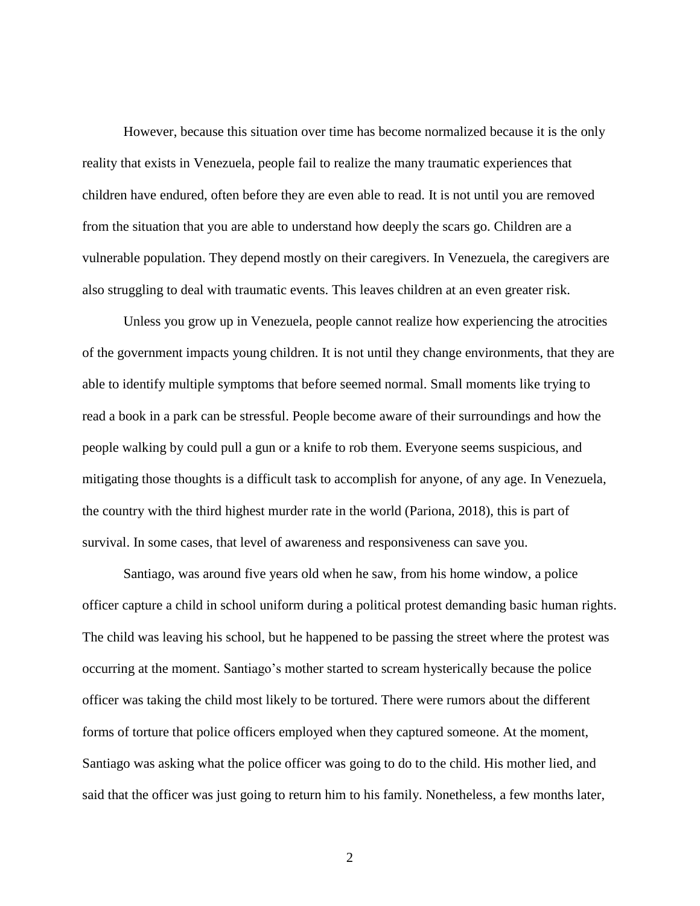However, because this situation over time has become normalized because it is the only reality that exists in Venezuela, people fail to realize the many traumatic experiences that children have endured, often before they are even able to read. It is not until you are removed from the situation that you are able to understand how deeply the scars go. Children are a vulnerable population. They depend mostly on their caregivers. In Venezuela, the caregivers are also struggling to deal with traumatic events. This leaves children at an even greater risk.

Unless you grow up in Venezuela, people cannot realize how experiencing the atrocities of the government impacts young children. It is not until they change environments, that they are able to identify multiple symptoms that before seemed normal. Small moments like trying to read a book in a park can be stressful. People become aware of their surroundings and how the people walking by could pull a gun or a knife to rob them. Everyone seems suspicious, and mitigating those thoughts is a difficult task to accomplish for anyone, of any age. In Venezuela, the country with the third highest murder rate in the world (Pariona, 2018), this is part of survival. In some cases, that level of awareness and responsiveness can save you.

Santiago, was around five years old when he saw, from his home window, a police officer capture a child in school uniform during a political protest demanding basic human rights. The child was leaving his school, but he happened to be passing the street where the protest was occurring at the moment. Santiago's mother started to scream hysterically because the police officer was taking the child most likely to be tortured. There were rumors about the different forms of torture that police officers employed when they captured someone. At the moment, Santiago was asking what the police officer was going to do to the child. His mother lied, and said that the officer was just going to return him to his family. Nonetheless, a few months later,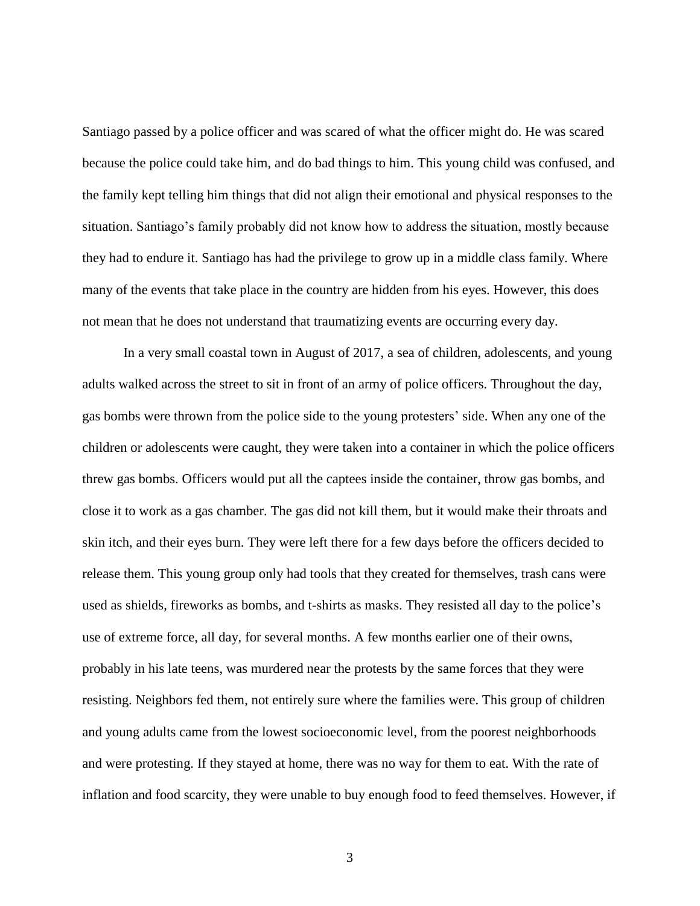Santiago passed by a police officer and was scared of what the officer might do. He was scared because the police could take him, and do bad things to him. This young child was confused, and the family kept telling him things that did not align their emotional and physical responses to the situation. Santiago's family probably did not know how to address the situation, mostly because they had to endure it. Santiago has had the privilege to grow up in a middle class family. Where many of the events that take place in the country are hidden from his eyes. However, this does not mean that he does not understand that traumatizing events are occurring every day.

In a very small coastal town in August of 2017, a sea of children, adolescents, and young adults walked across the street to sit in front of an army of police officers. Throughout the day, gas bombs were thrown from the police side to the young protesters' side. When any one of the children or adolescents were caught, they were taken into a container in which the police officers threw gas bombs. Officers would put all the captees inside the container, throw gas bombs, and close it to work as a gas chamber. The gas did not kill them, but it would make their throats and skin itch, and their eyes burn. They were left there for a few days before the officers decided to release them. This young group only had tools that they created for themselves, trash cans were used as shields, fireworks as bombs, and t-shirts as masks. They resisted all day to the police's use of extreme force, all day, for several months. A few months earlier one of their owns, probably in his late teens, was murdered near the protests by the same forces that they were resisting. Neighbors fed them, not entirely sure where the families were. This group of children and young adults came from the lowest socioeconomic level, from the poorest neighborhoods and were protesting. If they stayed at home, there was no way for them to eat. With the rate of inflation and food scarcity, they were unable to buy enough food to feed themselves. However, if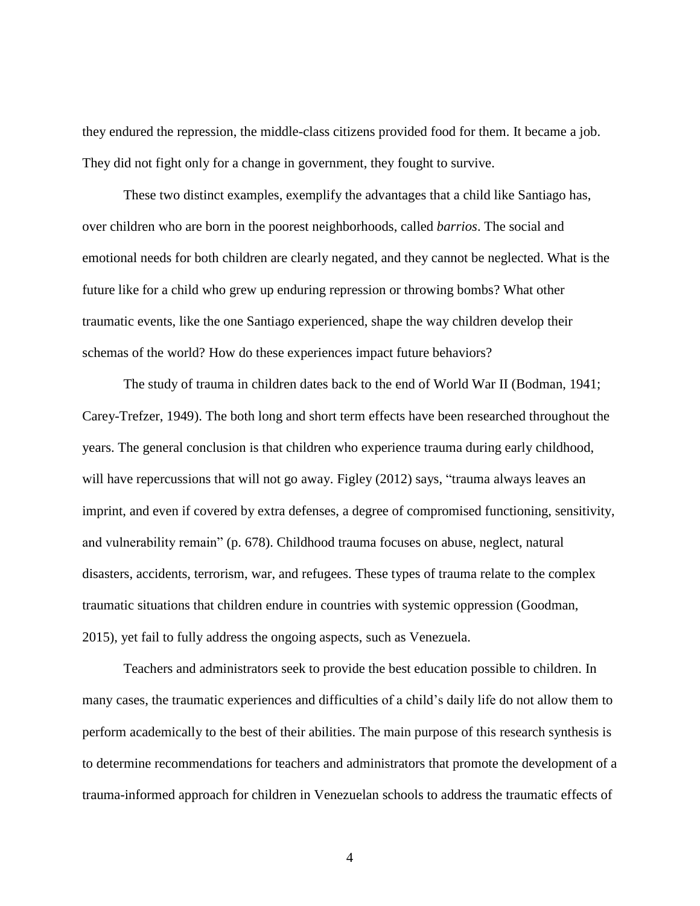they endured the repression, the middle-class citizens provided food for them. It became a job. They did not fight only for a change in government, they fought to survive.

These two distinct examples, exemplify the advantages that a child like Santiago has, over children who are born in the poorest neighborhoods, called *barrios*. The social and emotional needs for both children are clearly negated, and they cannot be neglected. What is the future like for a child who grew up enduring repression or throwing bombs? What other traumatic events, like the one Santiago experienced, shape the way children develop their schemas of the world? How do these experiences impact future behaviors?

The study of trauma in children dates back to the end of World War II (Bodman, 1941; Carey-Trefzer, 1949). The both long and short term effects have been researched throughout the years. The general conclusion is that children who experience trauma during early childhood, will have repercussions that will not go away. Figley (2012) says, "trauma always leaves an imprint, and even if covered by extra defenses, a degree of compromised functioning, sensitivity, and vulnerability remain" (p. 678). Childhood trauma focuses on abuse, neglect, natural disasters, accidents, terrorism, war, and refugees. These types of trauma relate to the complex traumatic situations that children endure in countries with systemic oppression (Goodman, 2015), yet fail to fully address the ongoing aspects, such as Venezuela.

Teachers and administrators seek to provide the best education possible to children. In many cases, the traumatic experiences and difficulties of a child's daily life do not allow them to perform academically to the best of their abilities. The main purpose of this research synthesis is to determine recommendations for teachers and administrators that promote the development of a trauma-informed approach for children in Venezuelan schools to address the traumatic effects of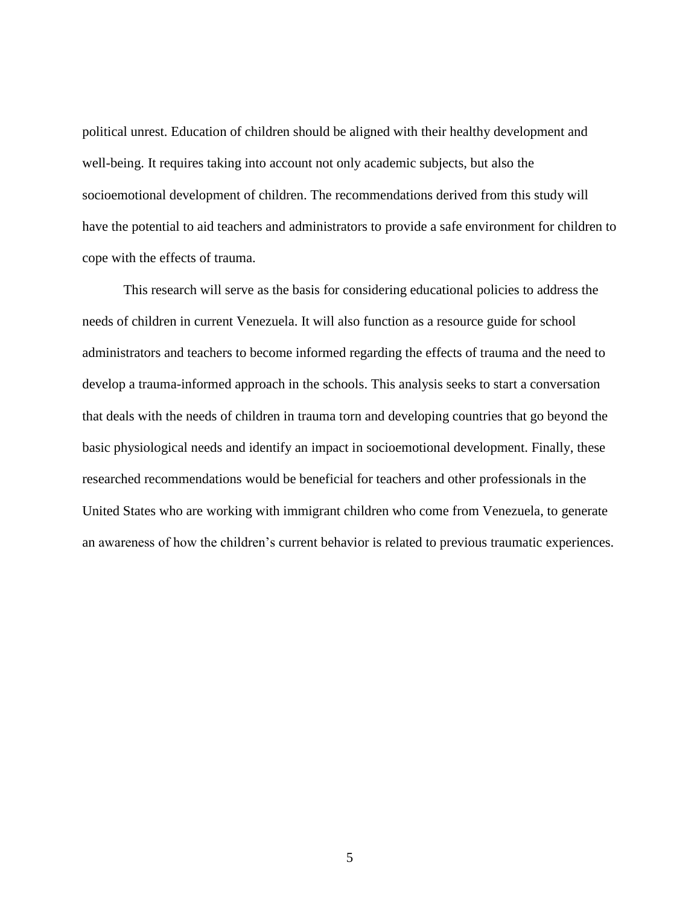political unrest. Education of children should be aligned with their healthy development and well-being. It requires taking into account not only academic subjects, but also the socioemotional development of children. The recommendations derived from this study will have the potential to aid teachers and administrators to provide a safe environment for children to cope with the effects of trauma.

This research will serve as the basis for considering educational policies to address the needs of children in current Venezuela. It will also function as a resource guide for school administrators and teachers to become informed regarding the effects of trauma and the need to develop a trauma-informed approach in the schools. This analysis seeks to start a conversation that deals with the needs of children in trauma torn and developing countries that go beyond the basic physiological needs and identify an impact in socioemotional development. Finally, these researched recommendations would be beneficial for teachers and other professionals in the United States who are working with immigrant children who come from Venezuela, to generate an awareness of how the children's current behavior is related to previous traumatic experiences.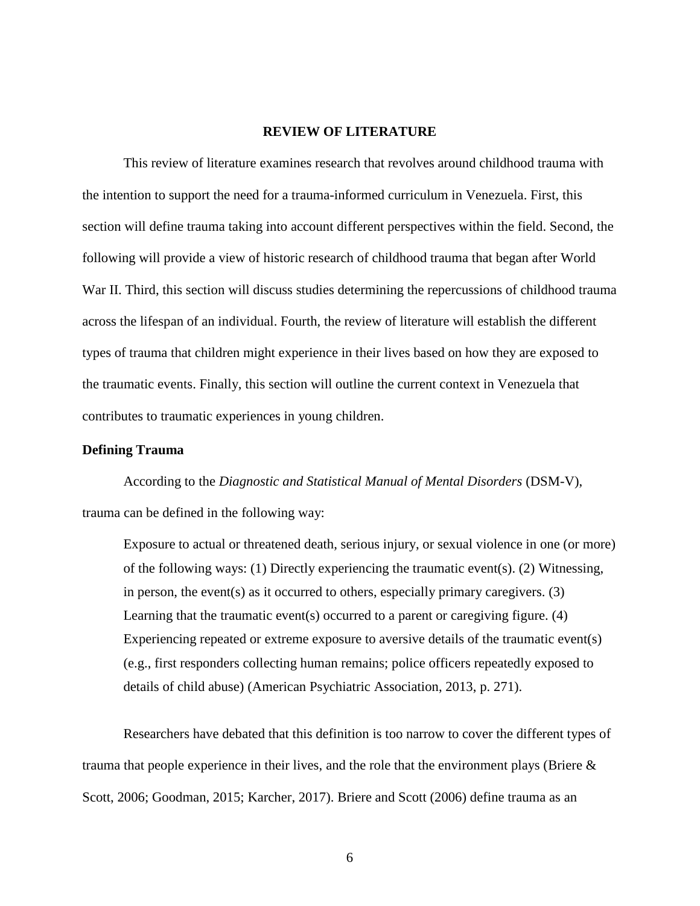#### **REVIEW OF LITERATURE**

<span id="page-13-0"></span>This review of literature examines research that revolves around childhood trauma with the intention to support the need for a trauma-informed curriculum in Venezuela. First, this section will define trauma taking into account different perspectives within the field. Second, the following will provide a view of historic research of childhood trauma that began after World War II. Third, this section will discuss studies determining the repercussions of childhood trauma across the lifespan of an individual. Fourth, the review of literature will establish the different types of trauma that children might experience in their lives based on how they are exposed to the traumatic events. Finally, this section will outline the current context in Venezuela that contributes to traumatic experiences in young children.

#### <span id="page-13-1"></span>**Defining Trauma**

According to the *Diagnostic and Statistical Manual of Mental Disorders* (DSM-V), trauma can be defined in the following way:

Exposure to actual or threatened death, serious injury, or sexual violence in one (or more) of the following ways: (1) Directly experiencing the traumatic event(s). (2) Witnessing, in person, the event(s) as it occurred to others, especially primary caregivers.  $(3)$ Learning that the traumatic event(s) occurred to a parent or caregiving figure. (4) Experiencing repeated or extreme exposure to aversive details of the traumatic event(s) (e.g., first responders collecting human remains; police officers repeatedly exposed to details of child abuse) (American Psychiatric Association, 2013, p. 271).

Researchers have debated that this definition is too narrow to cover the different types of trauma that people experience in their lives, and the role that the environment plays (Briere & Scott, 2006; Goodman, 2015; Karcher, 2017). Briere and Scott (2006) define trauma as an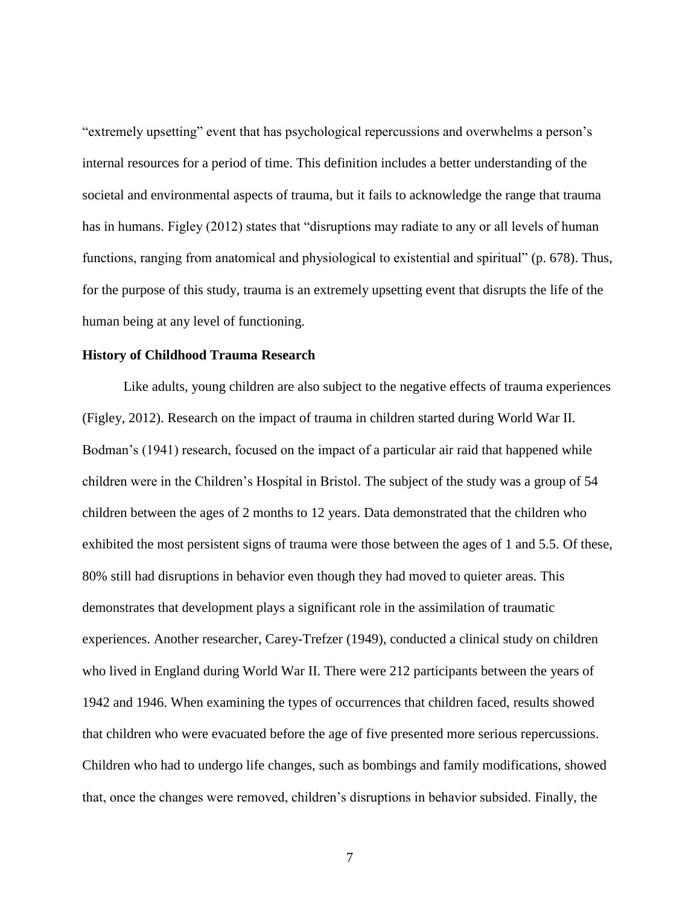"extremely upsetting" event that has psychological repercussions and overwhelms a person's internal resources for a period of time. This definition includes a better understanding of the societal and environmental aspects of trauma, but it fails to acknowledge the range that trauma has in humans. Figley (2012) states that "disruptions may radiate to any or all levels of human functions, ranging from anatomical and physiological to existential and spiritual" (p. 678). Thus, for the purpose of this study, trauma is an extremely upsetting event that disrupts the life of the human being at any level of functioning.

#### <span id="page-14-0"></span>**History of Childhood Trauma Research**

Like adults, young children are also subject to the negative effects of trauma experiences (Figley, 2012). Research on the impact of trauma in children started during World War II. Bodman's (1941) research, focused on the impact of a particular air raid that happened while children were in the Children's Hospital in Bristol. The subject of the study was a group of 54 children between the ages of 2 months to 12 years. Data demonstrated that the children who exhibited the most persistent signs of trauma were those between the ages of 1 and 5.5. Of these, 80% still had disruptions in behavior even though they had moved to quieter areas. This demonstrates that development plays a significant role in the assimilation of traumatic experiences. Another researcher, Carey-Trefzer (1949), conducted a clinical study on children who lived in England during World War II. There were 212 participants between the years of 1942 and 1946. When examining the types of occurrences that children faced, results showed that children who were evacuated before the age of five presented more serious repercussions. Children who had to undergo life changes, such as bombings and family modifications, showed that, once the changes were removed, children's disruptions in behavior subsided. Finally, the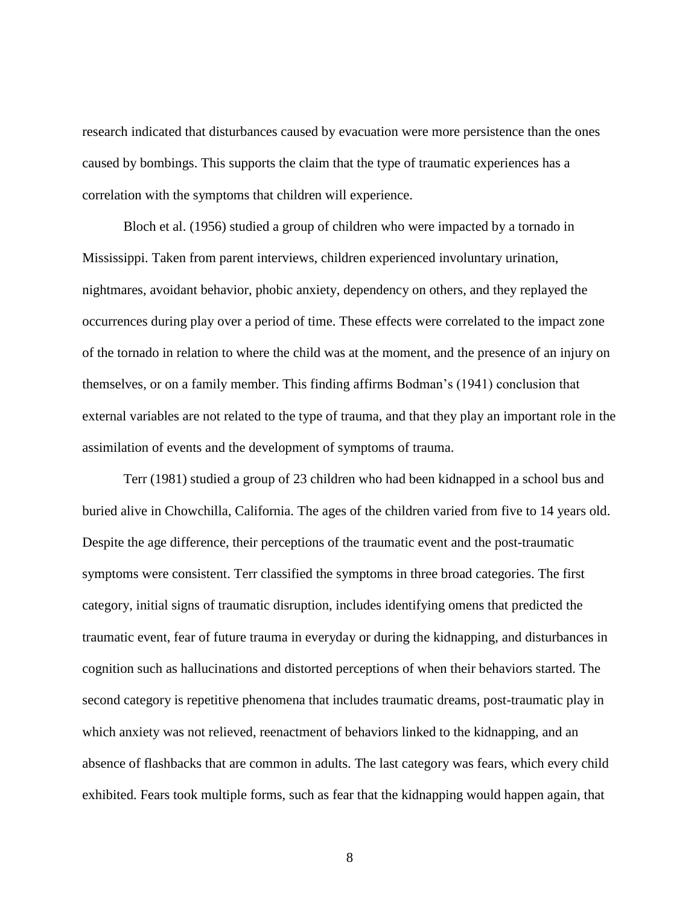research indicated that disturbances caused by evacuation were more persistence than the ones caused by bombings. This supports the claim that the type of traumatic experiences has a correlation with the symptoms that children will experience.

Bloch et al. (1956) studied a group of children who were impacted by a tornado in Mississippi. Taken from parent interviews, children experienced involuntary urination, nightmares, avoidant behavior, phobic anxiety, dependency on others, and they replayed the occurrences during play over a period of time. These effects were correlated to the impact zone of the tornado in relation to where the child was at the moment, and the presence of an injury on themselves, or on a family member. This finding affirms Bodman's (1941) conclusion that external variables are not related to the type of trauma, and that they play an important role in the assimilation of events and the development of symptoms of trauma.

Terr (1981) studied a group of 23 children who had been kidnapped in a school bus and buried alive in Chowchilla, California. The ages of the children varied from five to 14 years old. Despite the age difference, their perceptions of the traumatic event and the post-traumatic symptoms were consistent. Terr classified the symptoms in three broad categories. The first category, initial signs of traumatic disruption, includes identifying omens that predicted the traumatic event, fear of future trauma in everyday or during the kidnapping, and disturbances in cognition such as hallucinations and distorted perceptions of when their behaviors started. The second category is repetitive phenomena that includes traumatic dreams, post-traumatic play in which anxiety was not relieved, reenactment of behaviors linked to the kidnapping, and an absence of flashbacks that are common in adults. The last category was fears, which every child exhibited. Fears took multiple forms, such as fear that the kidnapping would happen again, that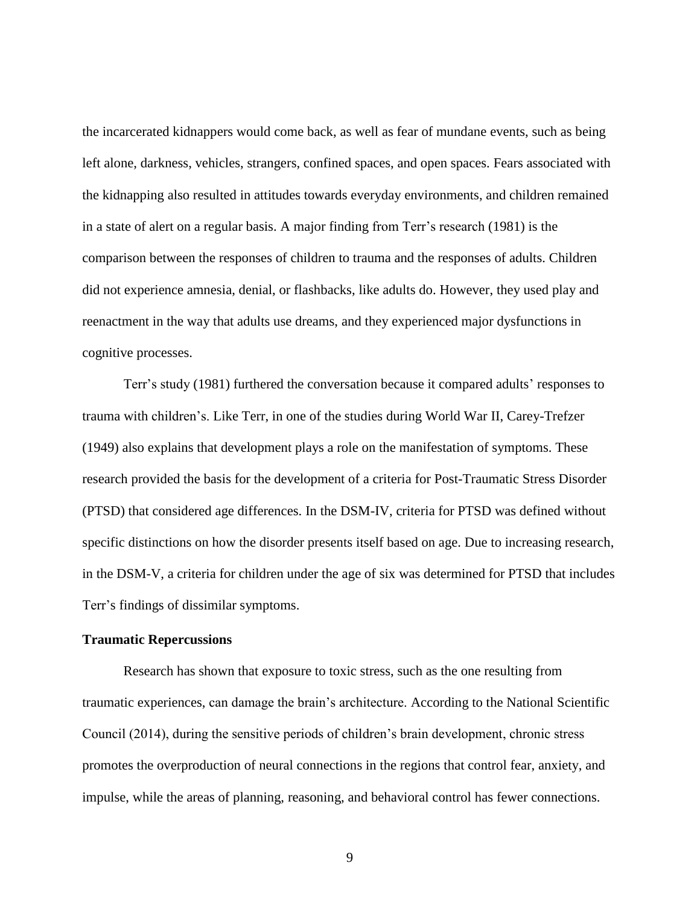the incarcerated kidnappers would come back, as well as fear of mundane events, such as being left alone, darkness, vehicles, strangers, confined spaces, and open spaces. Fears associated with the kidnapping also resulted in attitudes towards everyday environments, and children remained in a state of alert on a regular basis. A major finding from Terr's research (1981) is the comparison between the responses of children to trauma and the responses of adults. Children did not experience amnesia, denial, or flashbacks, like adults do. However, they used play and reenactment in the way that adults use dreams, and they experienced major dysfunctions in cognitive processes.

Terr's study (1981) furthered the conversation because it compared adults' responses to trauma with children's. Like Terr, in one of the studies during World War II, Carey-Trefzer (1949) also explains that development plays a role on the manifestation of symptoms. These research provided the basis for the development of a criteria for Post-Traumatic Stress Disorder (PTSD) that considered age differences. In the DSM-IV, criteria for PTSD was defined without specific distinctions on how the disorder presents itself based on age. Due to increasing research, in the DSM-V, a criteria for children under the age of six was determined for PTSD that includes Terr's findings of dissimilar symptoms.

#### <span id="page-16-0"></span>**Traumatic Repercussions**

Research has shown that exposure to toxic stress, such as the one resulting from traumatic experiences, can damage the brain's architecture. According to the National Scientific Council (2014), during the sensitive periods of children's brain development, chronic stress promotes the overproduction of neural connections in the regions that control fear, anxiety, and impulse, while the areas of planning, reasoning, and behavioral control has fewer connections.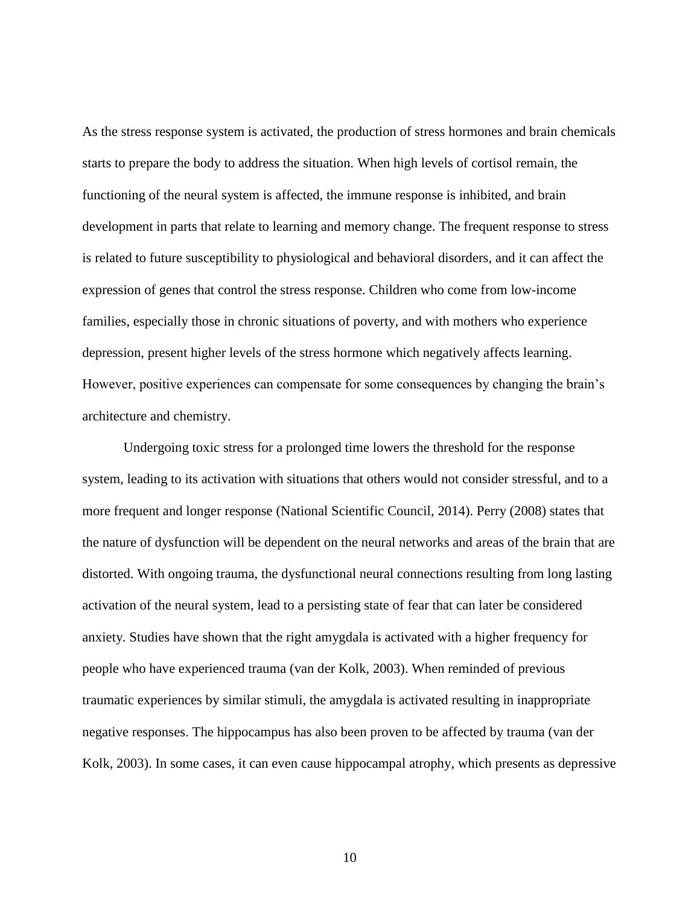As the stress response system is activated, the production of stress hormones and brain chemicals starts to prepare the body to address the situation. When high levels of cortisol remain, the functioning of the neural system is affected, the immune response is inhibited, and brain development in parts that relate to learning and memory change. The frequent response to stress is related to future susceptibility to physiological and behavioral disorders, and it can affect the expression of genes that control the stress response. Children who come from low-income families, especially those in chronic situations of poverty, and with mothers who experience depression, present higher levels of the stress hormone which negatively affects learning. However, positive experiences can compensate for some consequences by changing the brain's architecture and chemistry.

Undergoing toxic stress for a prolonged time lowers the threshold for the response system, leading to its activation with situations that others would not consider stressful, and to a more frequent and longer response (National Scientific Council, 2014). Perry (2008) states that the nature of dysfunction will be dependent on the neural networks and areas of the brain that are distorted. With ongoing trauma, the dysfunctional neural connections resulting from long lasting activation of the neural system, lead to a persisting state of fear that can later be considered anxiety. Studies have shown that the right amygdala is activated with a higher frequency for people who have experienced trauma (van der Kolk, 2003). When reminded of previous traumatic experiences by similar stimuli, the amygdala is activated resulting in inappropriate negative responses. The hippocampus has also been proven to be affected by trauma (van der Kolk, 2003). In some cases, it can even cause hippocampal atrophy, which presents as depressive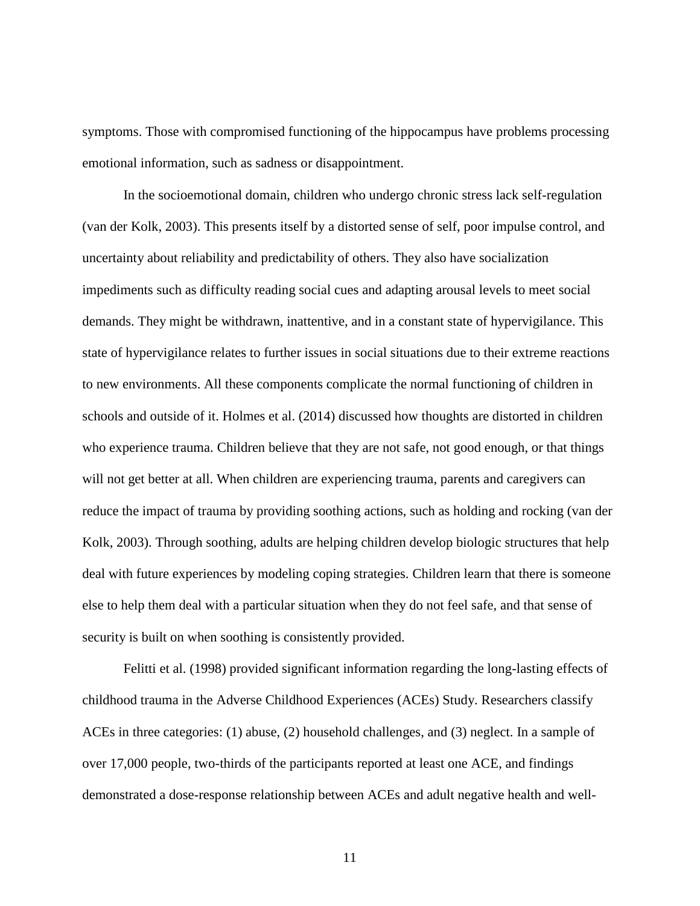symptoms. Those with compromised functioning of the hippocampus have problems processing emotional information, such as sadness or disappointment.

In the socioemotional domain, children who undergo chronic stress lack self-regulation (van der Kolk, 2003). This presents itself by a distorted sense of self, poor impulse control, and uncertainty about reliability and predictability of others. They also have socialization impediments such as difficulty reading social cues and adapting arousal levels to meet social demands. They might be withdrawn, inattentive, and in a constant state of hypervigilance. This state of hypervigilance relates to further issues in social situations due to their extreme reactions to new environments. All these components complicate the normal functioning of children in schools and outside of it. Holmes et al. (2014) discussed how thoughts are distorted in children who experience trauma. Children believe that they are not safe, not good enough, or that things will not get better at all. When children are experiencing trauma, parents and caregivers can reduce the impact of trauma by providing soothing actions, such as holding and rocking (van der Kolk, 2003). Through soothing, adults are helping children develop biologic structures that help deal with future experiences by modeling coping strategies. Children learn that there is someone else to help them deal with a particular situation when they do not feel safe, and that sense of security is built on when soothing is consistently provided.

Felitti et al. (1998) provided significant information regarding the long-lasting effects of childhood trauma in the Adverse Childhood Experiences (ACEs) Study. Researchers classify ACEs in three categories: (1) abuse, (2) household challenges, and (3) neglect. In a sample of over 17,000 people, two-thirds of the participants reported at least one ACE, and findings demonstrated a dose-response relationship between ACEs and adult negative health and well-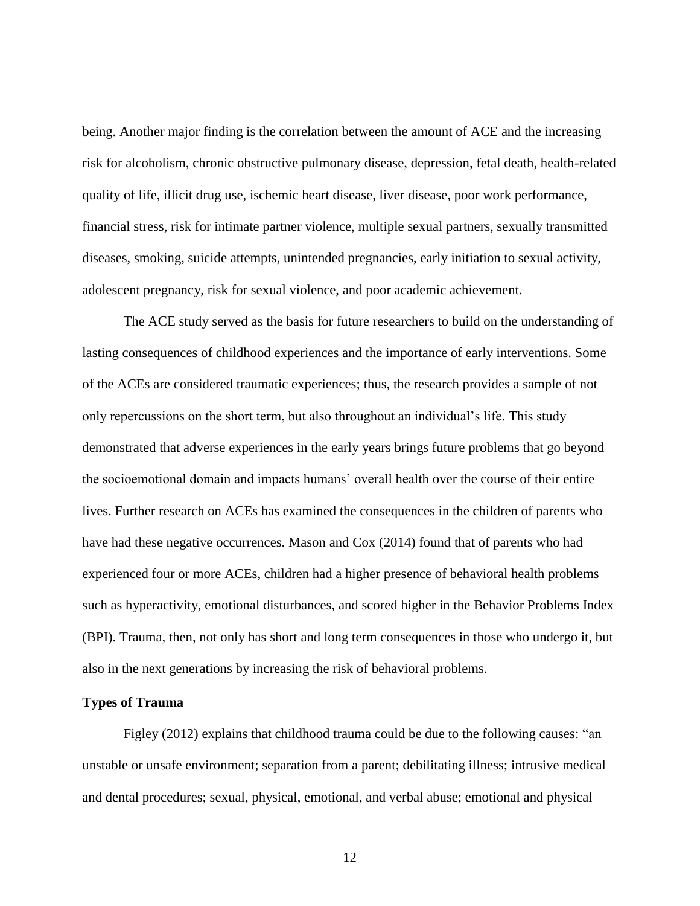being. Another major finding is the correlation between the amount of ACE and the increasing risk for alcoholism, chronic obstructive pulmonary disease, depression, fetal death, health-related quality of life, illicit drug use, ischemic heart disease, liver disease, poor work performance, financial stress, risk for intimate partner violence, multiple sexual partners, sexually transmitted diseases, smoking, suicide attempts, unintended pregnancies, early initiation to sexual activity, adolescent pregnancy, risk for sexual violence, and poor academic achievement.

The ACE study served as the basis for future researchers to build on the understanding of lasting consequences of childhood experiences and the importance of early interventions. Some of the ACEs are considered traumatic experiences; thus, the research provides a sample of not only repercussions on the short term, but also throughout an individual's life. This study demonstrated that adverse experiences in the early years brings future problems that go beyond the socioemotional domain and impacts humans' overall health over the course of their entire lives. Further research on ACEs has examined the consequences in the children of parents who have had these negative occurrences. Mason and Cox (2014) found that of parents who had experienced four or more ACEs, children had a higher presence of behavioral health problems such as hyperactivity, emotional disturbances, and scored higher in the Behavior Problems Index (BPI). Trauma, then, not only has short and long term consequences in those who undergo it, but also in the next generations by increasing the risk of behavioral problems.

#### <span id="page-19-0"></span>**Types of Trauma**

Figley (2012) explains that childhood trauma could be due to the following causes: "an unstable or unsafe environment; separation from a parent; debilitating illness; intrusive medical and dental procedures; sexual, physical, emotional, and verbal abuse; emotional and physical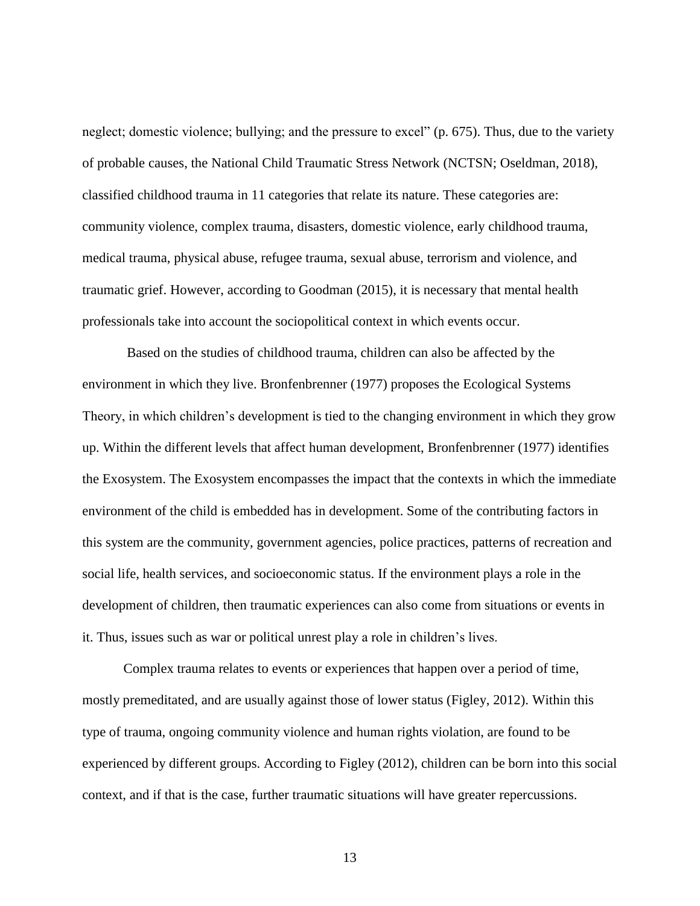neglect; domestic violence; bullying; and the pressure to excel" (p. 675). Thus, due to the variety of probable causes, the National Child Traumatic Stress Network (NCTSN; Oseldman, 2018), classified childhood trauma in 11 categories that relate its nature. These categories are: community violence, complex trauma, disasters, domestic violence, early childhood trauma, medical trauma, physical abuse, refugee trauma, sexual abuse, terrorism and violence, and traumatic grief. However, according to Goodman (2015), it is necessary that mental health professionals take into account the sociopolitical context in which events occur.

Based on the studies of childhood trauma, children can also be affected by the environment in which they live. Bronfenbrenner (1977) proposes the Ecological Systems Theory, in which children's development is tied to the changing environment in which they grow up. Within the different levels that affect human development, Bronfenbrenner (1977) identifies the Exosystem. The Exosystem encompasses the impact that the contexts in which the immediate environment of the child is embedded has in development. Some of the contributing factors in this system are the community, government agencies, police practices, patterns of recreation and social life, health services, and socioeconomic status. If the environment plays a role in the development of children, then traumatic experiences can also come from situations or events in it. Thus, issues such as war or political unrest play a role in children's lives.

Complex trauma relates to events or experiences that happen over a period of time, mostly premeditated, and are usually against those of lower status (Figley, 2012). Within this type of trauma, ongoing community violence and human rights violation, are found to be experienced by different groups. According to Figley (2012), children can be born into this social context, and if that is the case, further traumatic situations will have greater repercussions.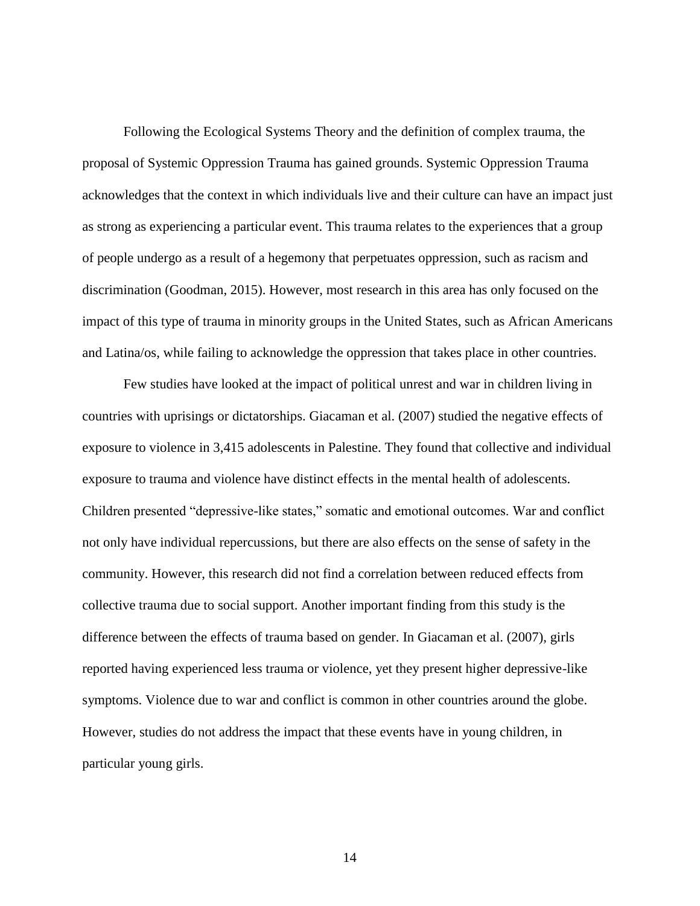Following the Ecological Systems Theory and the definition of complex trauma, the proposal of Systemic Oppression Trauma has gained grounds. Systemic Oppression Trauma acknowledges that the context in which individuals live and their culture can have an impact just as strong as experiencing a particular event. This trauma relates to the experiences that a group of people undergo as a result of a hegemony that perpetuates oppression, such as racism and discrimination (Goodman, 2015). However, most research in this area has only focused on the impact of this type of trauma in minority groups in the United States, such as African Americans and Latina/os, while failing to acknowledge the oppression that takes place in other countries.

Few studies have looked at the impact of political unrest and war in children living in countries with uprisings or dictatorships. Giacaman et al. (2007) studied the negative effects of exposure to violence in 3,415 adolescents in Palestine. They found that collective and individual exposure to trauma and violence have distinct effects in the mental health of adolescents. Children presented "depressive-like states," somatic and emotional outcomes. War and conflict not only have individual repercussions, but there are also effects on the sense of safety in the community. However, this research did not find a correlation between reduced effects from collective trauma due to social support. Another important finding from this study is the difference between the effects of trauma based on gender. In Giacaman et al. (2007), girls reported having experienced less trauma or violence, yet they present higher depressive-like symptoms. Violence due to war and conflict is common in other countries around the globe. However, studies do not address the impact that these events have in young children, in particular young girls.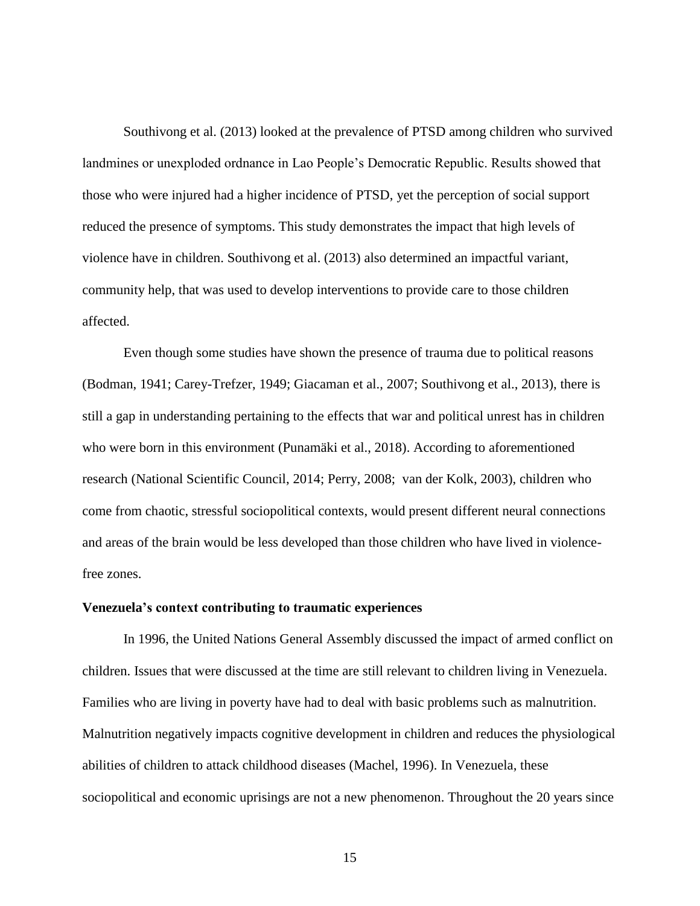Southivong et al. (2013) looked at the prevalence of PTSD among children who survived landmines or unexploded ordnance in Lao People's Democratic Republic. Results showed that those who were injured had a higher incidence of PTSD, yet the perception of social support reduced the presence of symptoms. This study demonstrates the impact that high levels of violence have in children. Southivong et al. (2013) also determined an impactful variant, community help, that was used to develop interventions to provide care to those children affected.

Even though some studies have shown the presence of trauma due to political reasons (Bodman, 1941; Carey-Trefzer, 1949; Giacaman et al., 2007; Southivong et al., 2013), there is still a gap in understanding pertaining to the effects that war and political unrest has in children who were born in this environment (Punamäki et al., 2018). According to aforementioned research (National Scientific Council, 2014; Perry, 2008; van der Kolk, 2003), children who come from chaotic, stressful sociopolitical contexts, would present different neural connections and areas of the brain would be less developed than those children who have lived in violencefree zones.

#### <span id="page-22-0"></span>**Venezuela's context contributing to traumatic experiences**

In 1996, the United Nations General Assembly discussed the impact of armed conflict on children. Issues that were discussed at the time are still relevant to children living in Venezuela. Families who are living in poverty have had to deal with basic problems such as malnutrition. Malnutrition negatively impacts cognitive development in children and reduces the physiological abilities of children to attack childhood diseases (Machel, 1996). In Venezuela, these sociopolitical and economic uprisings are not a new phenomenon. Throughout the 20 years since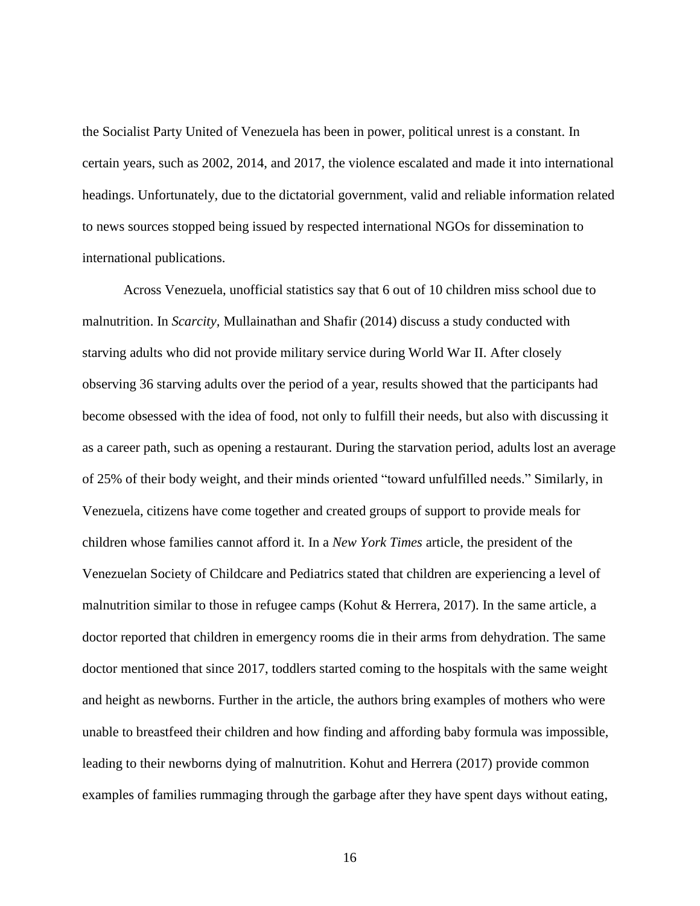the Socialist Party United of Venezuela has been in power, political unrest is a constant. In certain years, such as 2002, 2014, and 2017, the violence escalated and made it into international headings. Unfortunately, due to the dictatorial government, valid and reliable information related to news sources stopped being issued by respected international NGOs for dissemination to international publications.

Across Venezuela, unofficial statistics say that 6 out of 10 children miss school due to malnutrition. In *Scarcity,* Mullainathan and Shafir (2014) discuss a study conducted with starving adults who did not provide military service during World War II. After closely observing 36 starving adults over the period of a year, results showed that the participants had become obsessed with the idea of food, not only to fulfill their needs, but also with discussing it as a career path, such as opening a restaurant. During the starvation period, adults lost an average of 25% of their body weight, and their minds oriented "toward unfulfilled needs." Similarly, in Venezuela, citizens have come together and created groups of support to provide meals for children whose families cannot afford it. In a *New York Times* article, the president of the Venezuelan Society of Childcare and Pediatrics stated that children are experiencing a level of malnutrition similar to those in refugee camps (Kohut & Herrera, 2017). In the same article, a doctor reported that children in emergency rooms die in their arms from dehydration. The same doctor mentioned that since 2017, toddlers started coming to the hospitals with the same weight and height as newborns. Further in the article, the authors bring examples of mothers who were unable to breastfeed their children and how finding and affording baby formula was impossible, leading to their newborns dying of malnutrition. Kohut and Herrera (2017) provide common examples of families rummaging through the garbage after they have spent days without eating,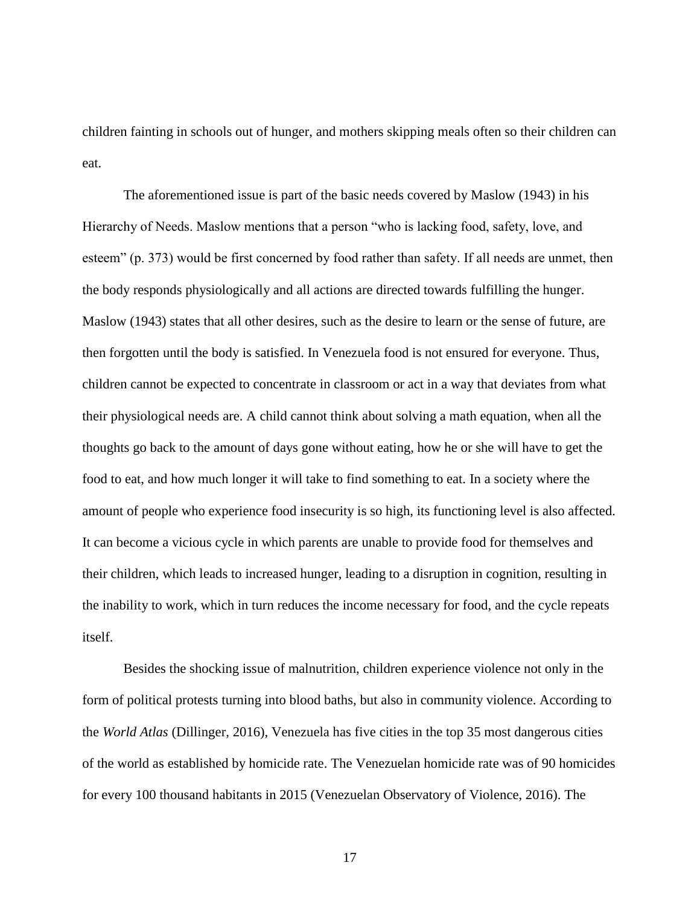children fainting in schools out of hunger, and mothers skipping meals often so their children can eat.

The aforementioned issue is part of the basic needs covered by Maslow (1943) in his Hierarchy of Needs. Maslow mentions that a person "who is lacking food, safety, love, and esteem" (p. 373) would be first concerned by food rather than safety. If all needs are unmet, then the body responds physiologically and all actions are directed towards fulfilling the hunger. Maslow (1943) states that all other desires, such as the desire to learn or the sense of future, are then forgotten until the body is satisfied. In Venezuela food is not ensured for everyone. Thus, children cannot be expected to concentrate in classroom or act in a way that deviates from what their physiological needs are. A child cannot think about solving a math equation, when all the thoughts go back to the amount of days gone without eating, how he or she will have to get the food to eat, and how much longer it will take to find something to eat. In a society where the amount of people who experience food insecurity is so high, its functioning level is also affected. It can become a vicious cycle in which parents are unable to provide food for themselves and their children, which leads to increased hunger, leading to a disruption in cognition, resulting in the inability to work, which in turn reduces the income necessary for food, and the cycle repeats itself.

Besides the shocking issue of malnutrition, children experience violence not only in the form of political protests turning into blood baths, but also in community violence. According to the *World Atlas* (Dillinger, 2016), Venezuela has five cities in the top 35 most dangerous cities of the world as established by homicide rate. The Venezuelan homicide rate was of 90 homicides for every 100 thousand habitants in 2015 (Venezuelan Observatory of Violence, 2016). The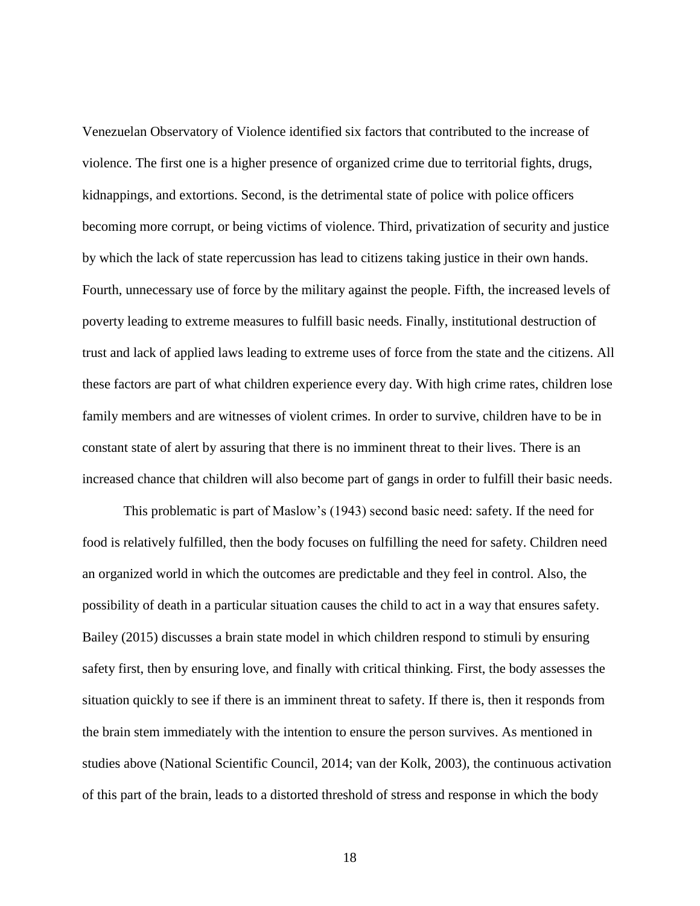Venezuelan Observatory of Violence identified six factors that contributed to the increase of violence. The first one is a higher presence of organized crime due to territorial fights, drugs, kidnappings, and extortions. Second, is the detrimental state of police with police officers becoming more corrupt, or being victims of violence. Third, privatization of security and justice by which the lack of state repercussion has lead to citizens taking justice in their own hands. Fourth, unnecessary use of force by the military against the people. Fifth, the increased levels of poverty leading to extreme measures to fulfill basic needs. Finally, institutional destruction of trust and lack of applied laws leading to extreme uses of force from the state and the citizens. All these factors are part of what children experience every day. With high crime rates, children lose family members and are witnesses of violent crimes. In order to survive, children have to be in constant state of alert by assuring that there is no imminent threat to their lives. There is an increased chance that children will also become part of gangs in order to fulfill their basic needs.

This problematic is part of Maslow's (1943) second basic need: safety. If the need for food is relatively fulfilled, then the body focuses on fulfilling the need for safety. Children need an organized world in which the outcomes are predictable and they feel in control. Also, the possibility of death in a particular situation causes the child to act in a way that ensures safety. Bailey (2015) discusses a brain state model in which children respond to stimuli by ensuring safety first, then by ensuring love, and finally with critical thinking. First, the body assesses the situation quickly to see if there is an imminent threat to safety. If there is, then it responds from the brain stem immediately with the intention to ensure the person survives. As mentioned in studies above (National Scientific Council, 2014; van der Kolk, 2003), the continuous activation of this part of the brain, leads to a distorted threshold of stress and response in which the body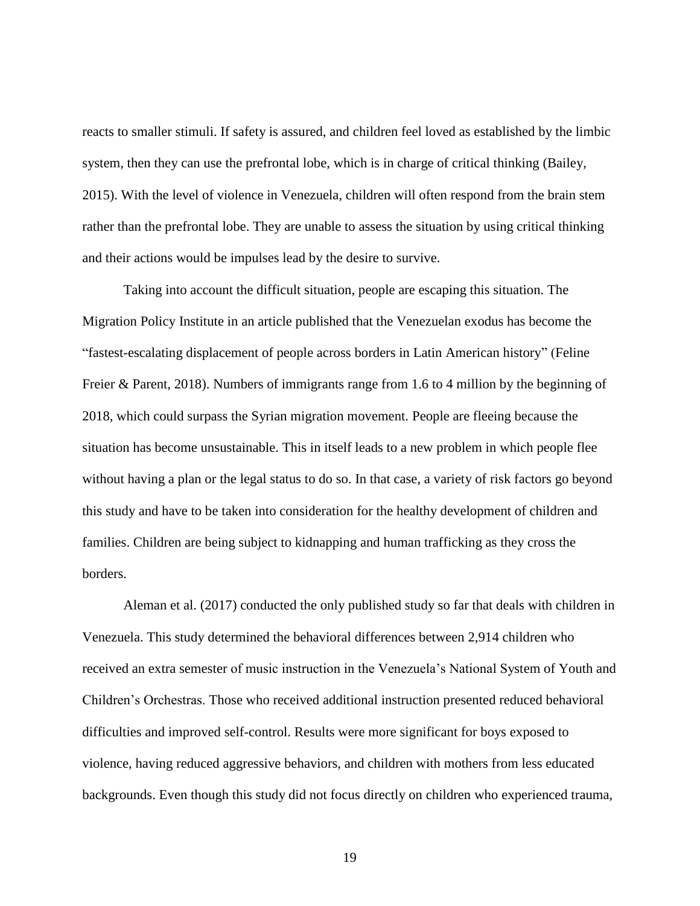reacts to smaller stimuli. If safety is assured, and children feel loved as established by the limbic system, then they can use the prefrontal lobe, which is in charge of critical thinking (Bailey, 2015). With the level of violence in Venezuela, children will often respond from the brain stem rather than the prefrontal lobe. They are unable to assess the situation by using critical thinking and their actions would be impulses lead by the desire to survive.

Taking into account the difficult situation, people are escaping this situation. The Migration Policy Institute in an article published that the Venezuelan exodus has become the "fastest-escalating displacement of people across borders in Latin American history" (Feline Freier & Parent, 2018). Numbers of immigrants range from 1.6 to 4 million by the beginning of 2018, which could surpass the Syrian migration movement. People are fleeing because the situation has become unsustainable. This in itself leads to a new problem in which people flee without having a plan or the legal status to do so. In that case, a variety of risk factors go beyond this study and have to be taken into consideration for the healthy development of children and families. Children are being subject to kidnapping and human trafficking as they cross the borders.

Aleman et al. (2017) conducted the only published study so far that deals with children in Venezuela. This study determined the behavioral differences between 2,914 children who received an extra semester of music instruction in the Venezuela's National System of Youth and Children's Orchestras. Those who received additional instruction presented reduced behavioral difficulties and improved self-control. Results were more significant for boys exposed to violence, having reduced aggressive behaviors, and children with mothers from less educated backgrounds. Even though this study did not focus directly on children who experienced trauma,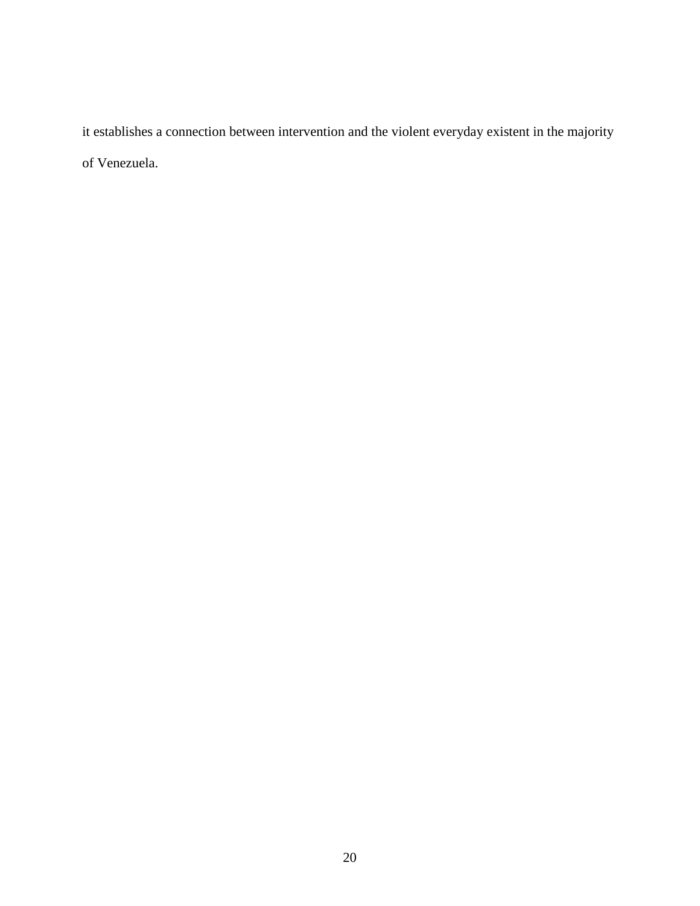it establishes a connection between intervention and the violent everyday existent in the majority of Venezuela.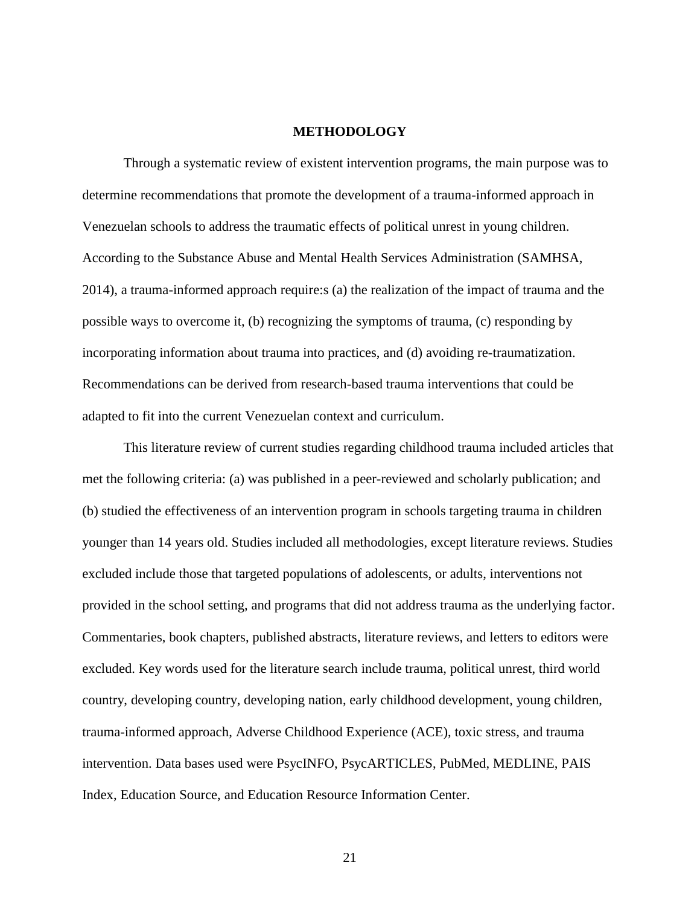#### **METHODOLOGY**

<span id="page-28-0"></span>Through a systematic review of existent intervention programs, the main purpose was to determine recommendations that promote the development of a trauma-informed approach in Venezuelan schools to address the traumatic effects of political unrest in young children. According to the Substance Abuse and Mental Health Services Administration (SAMHSA, 2014), a trauma-informed approach require:s (a) the realization of the impact of trauma and the possible ways to overcome it, (b) recognizing the symptoms of trauma, (c) responding by incorporating information about trauma into practices, and (d) avoiding re-traumatization. Recommendations can be derived from research-based trauma interventions that could be adapted to fit into the current Venezuelan context and curriculum.

This literature review of current studies regarding childhood trauma included articles that met the following criteria: (a) was published in a peer-reviewed and scholarly publication; and (b) studied the effectiveness of an intervention program in schools targeting trauma in children younger than 14 years old. Studies included all methodologies, except literature reviews. Studies excluded include those that targeted populations of adolescents, or adults, interventions not provided in the school setting, and programs that did not address trauma as the underlying factor. Commentaries, book chapters, published abstracts, literature reviews, and letters to editors were excluded. Key words used for the literature search include trauma, political unrest, third world country, developing country, developing nation, early childhood development, young children, trauma-informed approach, Adverse Childhood Experience (ACE), toxic stress, and trauma intervention. Data bases used were PsycINFO, PsycARTICLES, PubMed, MEDLINE, PAIS Index, Education Source, and Education Resource Information Center.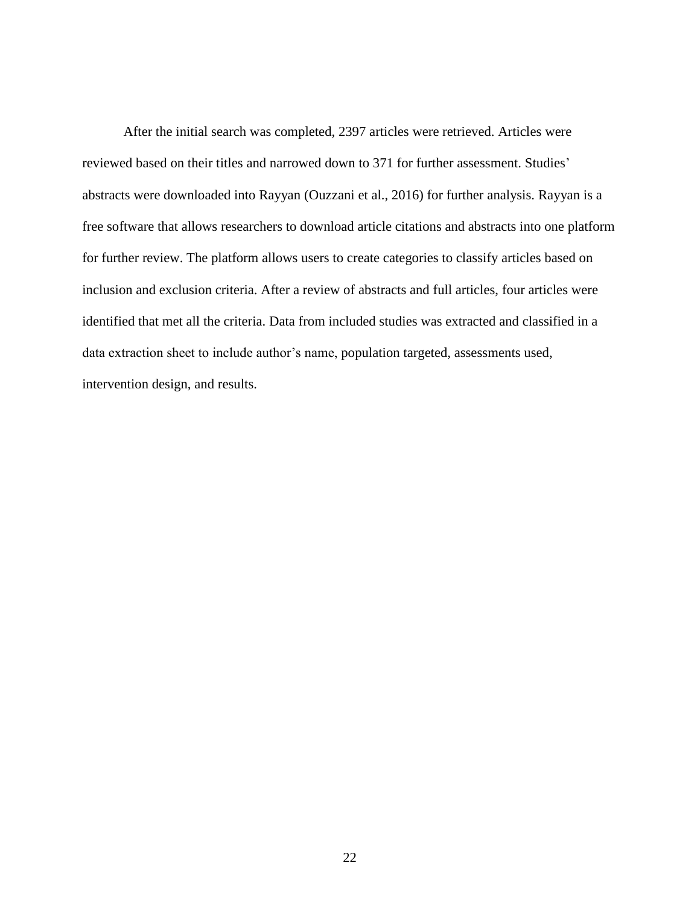After the initial search was completed, 2397 articles were retrieved. Articles were reviewed based on their titles and narrowed down to 371 for further assessment. Studies' abstracts were downloaded into Rayyan (Ouzzani et al., 2016) for further analysis. Rayyan is a free software that allows researchers to download article citations and abstracts into one platform for further review. The platform allows users to create categories to classify articles based on inclusion and exclusion criteria. After a review of abstracts and full articles, four articles were identified that met all the criteria. Data from included studies was extracted and classified in a data extraction sheet to include author's name, population targeted, assessments used, intervention design, and results.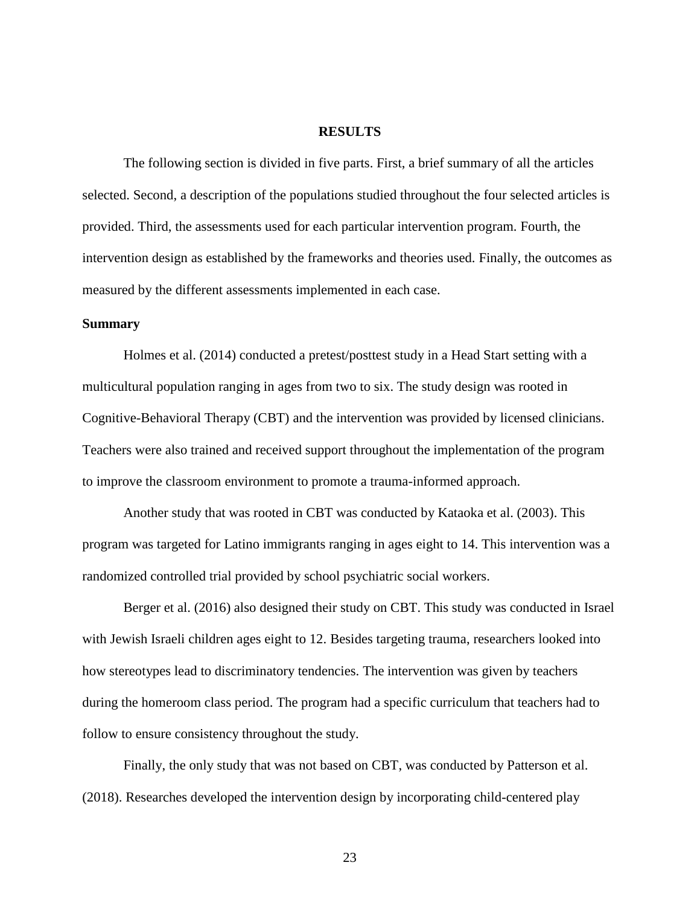#### **RESULTS**

<span id="page-30-0"></span>The following section is divided in five parts. First, a brief summary of all the articles selected. Second, a description of the populations studied throughout the four selected articles is provided. Third, the assessments used for each particular intervention program. Fourth, the intervention design as established by the frameworks and theories used. Finally, the outcomes as measured by the different assessments implemented in each case.

#### **Summary**

Holmes et al. (2014) conducted a pretest/posttest study in a Head Start setting with a multicultural population ranging in ages from two to six. The study design was rooted in Cognitive-Behavioral Therapy (CBT) and the intervention was provided by licensed clinicians. Teachers were also trained and received support throughout the implementation of the program to improve the classroom environment to promote a trauma-informed approach.

Another study that was rooted in CBT was conducted by Kataoka et al. (2003). This program was targeted for Latino immigrants ranging in ages eight to 14. This intervention was a randomized controlled trial provided by school psychiatric social workers.

Berger et al. (2016) also designed their study on CBT. This study was conducted in Israel with Jewish Israeli children ages eight to 12. Besides targeting trauma, researchers looked into how stereotypes lead to discriminatory tendencies. The intervention was given by teachers during the homeroom class period. The program had a specific curriculum that teachers had to follow to ensure consistency throughout the study.

Finally, the only study that was not based on CBT, was conducted by Patterson et al. (2018). Researches developed the intervention design by incorporating child-centered play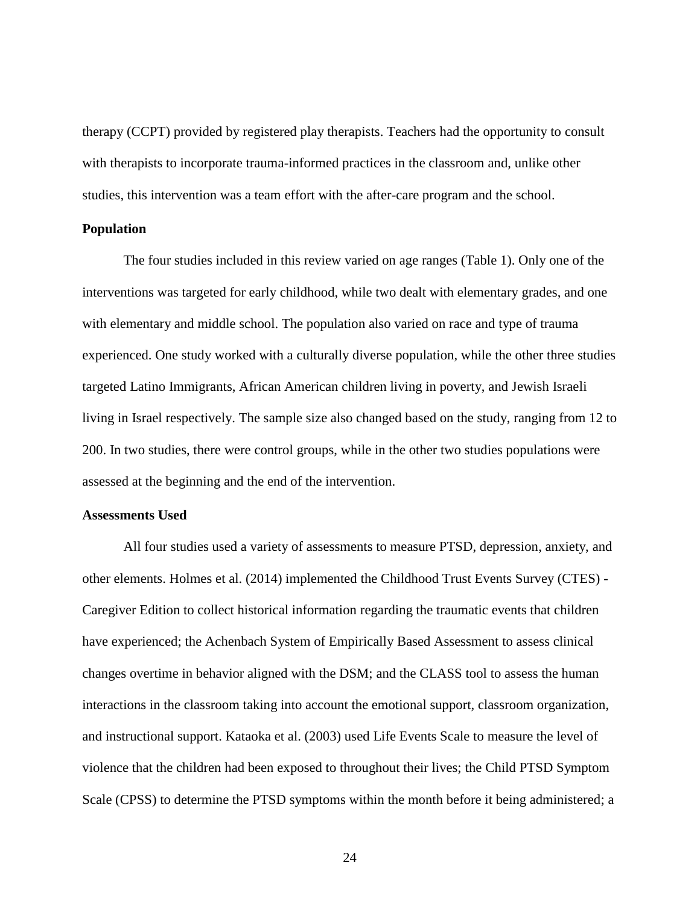therapy (CCPT) provided by registered play therapists. Teachers had the opportunity to consult with therapists to incorporate trauma-informed practices in the classroom and, unlike other studies, this intervention was a team effort with the after-care program and the school.

#### <span id="page-31-0"></span>**Population**

The four studies included in this review varied on age ranges (Table 1). Only one of the interventions was targeted for early childhood, while two dealt with elementary grades, and one with elementary and middle school. The population also varied on race and type of trauma experienced. One study worked with a culturally diverse population, while the other three studies targeted Latino Immigrants, African American children living in poverty, and Jewish Israeli living in Israel respectively. The sample size also changed based on the study, ranging from 12 to 200. In two studies, there were control groups, while in the other two studies populations were assessed at the beginning and the end of the intervention.

#### <span id="page-31-1"></span>**Assessments Used**

All four studies used a variety of assessments to measure PTSD, depression, anxiety, and other elements. Holmes et al. (2014) implemented the Childhood Trust Events Survey (CTES) - Caregiver Edition to collect historical information regarding the traumatic events that children have experienced; the Achenbach System of Empirically Based Assessment to assess clinical changes overtime in behavior aligned with the DSM; and the CLASS tool to assess the human interactions in the classroom taking into account the emotional support, classroom organization, and instructional support. Kataoka et al. (2003) used Life Events Scale to measure the level of violence that the children had been exposed to throughout their lives; the Child PTSD Symptom Scale (CPSS) to determine the PTSD symptoms within the month before it being administered; a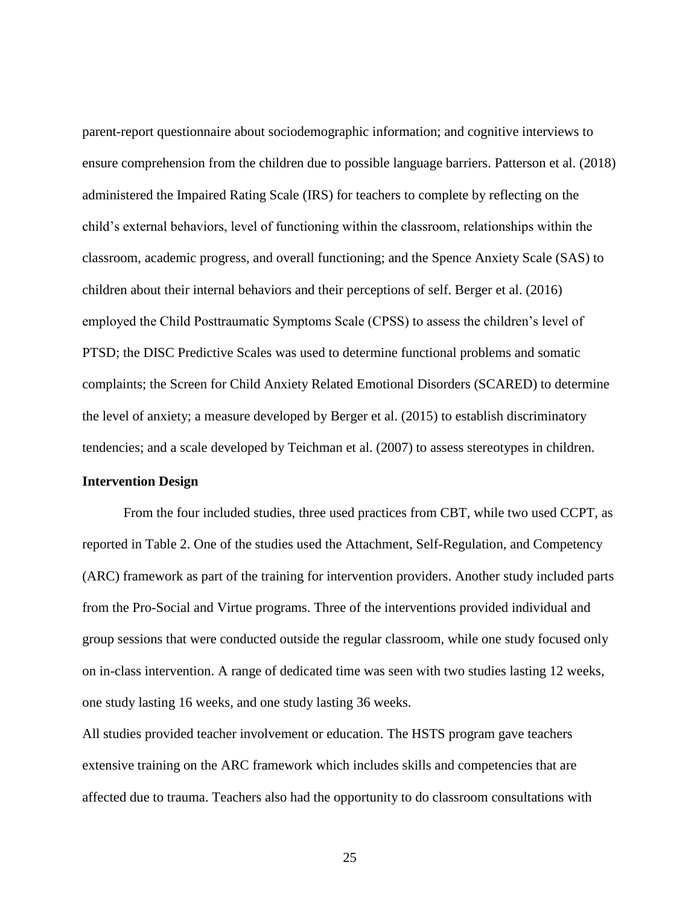parent-report questionnaire about sociodemographic information; and cognitive interviews to ensure comprehension from the children due to possible language barriers. Patterson et al. (2018) administered the Impaired Rating Scale (IRS) for teachers to complete by reflecting on the child's external behaviors, level of functioning within the classroom, relationships within the classroom, academic progress, and overall functioning; and the Spence Anxiety Scale (SAS) to children about their internal behaviors and their perceptions of self. Berger et al. (2016) employed the Child Posttraumatic Symptoms Scale (CPSS) to assess the children's level of PTSD; the DISC Predictive Scales was used to determine functional problems and somatic complaints; the Screen for Child Anxiety Related Emotional Disorders (SCARED) to determine the level of anxiety; a measure developed by Berger et al. (2015) to establish discriminatory tendencies; and a scale developed by Teichman et al. (2007) to assess stereotypes in children.

#### <span id="page-32-0"></span>**Intervention Design**

From the four included studies, three used practices from CBT, while two used CCPT, as reported in Table 2. One of the studies used the Attachment, Self-Regulation, and Competency (ARC) framework as part of the training for intervention providers. Another study included parts from the Pro-Social and Virtue programs. Three of the interventions provided individual and group sessions that were conducted outside the regular classroom, while one study focused only on in-class intervention. A range of dedicated time was seen with two studies lasting 12 weeks, one study lasting 16 weeks, and one study lasting 36 weeks.

All studies provided teacher involvement or education. The HSTS program gave teachers extensive training on the ARC framework which includes skills and competencies that are affected due to trauma. Teachers also had the opportunity to do classroom consultations with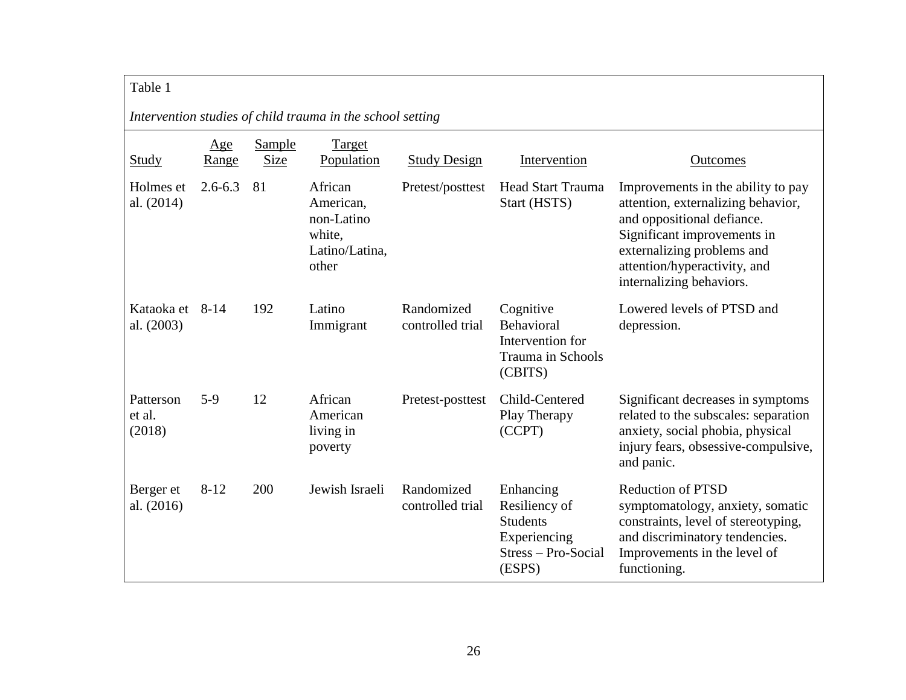## Table 1

<span id="page-33-0"></span>

| Intervention studies of child trauma in the school setting |              |                |                                                                         |                                |                                                                                                |                                                                                                                                                                                                                                 |
|------------------------------------------------------------|--------------|----------------|-------------------------------------------------------------------------|--------------------------------|------------------------------------------------------------------------------------------------|---------------------------------------------------------------------------------------------------------------------------------------------------------------------------------------------------------------------------------|
| <b>Study</b>                                               | Age<br>Range | Sample<br>Size | Target<br>Population                                                    | <b>Study Design</b>            | Intervention                                                                                   | Outcomes                                                                                                                                                                                                                        |
| Holmes et<br>al. (2014)                                    | $2.6 - 6.3$  | 81             | African<br>American,<br>non-Latino<br>white,<br>Latino/Latina,<br>other | Pretest/posttest               | <b>Head Start Trauma</b><br>Start (HSTS)                                                       | Improvements in the ability to pay<br>attention, externalizing behavior,<br>and oppositional defiance.<br>Significant improvements in<br>externalizing problems and<br>attention/hyperactivity, and<br>internalizing behaviors. |
| Kataoka et 8-14<br>al. (2003)                              |              | 192            | Latino<br>Immigrant                                                     | Randomized<br>controlled trial | Cognitive<br>Behavioral<br>Intervention for<br><b>Trauma in Schools</b><br>(CBITS)             | Lowered levels of PTSD and<br>depression.                                                                                                                                                                                       |
| Patterson<br>et al.<br>(2018)                              | $5-9$        | 12             | African<br>American<br>living in<br>poverty                             | Pretest-posttest               | Child-Centered<br>Play Therapy<br>(CCPT)                                                       | Significant decreases in symptoms<br>related to the subscales: separation<br>anxiety, social phobia, physical<br>injury fears, obsessive-compulsive,<br>and panic.                                                              |
| Berger et<br>al. $(2016)$                                  | $8 - 12$     | 200            | Jewish Israeli                                                          | Randomized<br>controlled trial | Enhancing<br>Resiliency of<br><b>Students</b><br>Experiencing<br>Stress – Pro-Social<br>(ESPS) | <b>Reduction of PTSD</b><br>symptomatology, anxiety, somatic<br>constraints, level of stereotyping,<br>and discriminatory tendencies.<br>Improvements in the level of<br>functioning.                                           |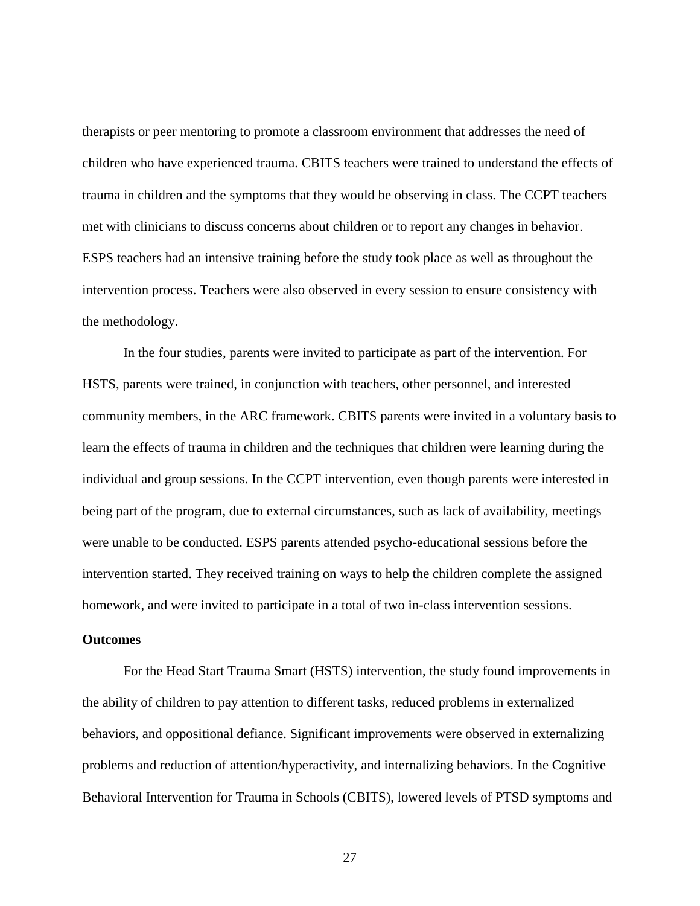therapists or peer mentoring to promote a classroom environment that addresses the need of children who have experienced trauma. CBITS teachers were trained to understand the effects of trauma in children and the symptoms that they would be observing in class. The CCPT teachers met with clinicians to discuss concerns about children or to report any changes in behavior. ESPS teachers had an intensive training before the study took place as well as throughout the intervention process. Teachers were also observed in every session to ensure consistency with the methodology.

In the four studies, parents were invited to participate as part of the intervention. For HSTS, parents were trained, in conjunction with teachers, other personnel, and interested community members, in the ARC framework. CBITS parents were invited in a voluntary basis to learn the effects of trauma in children and the techniques that children were learning during the individual and group sessions. In the CCPT intervention, even though parents were interested in being part of the program, due to external circumstances, such as lack of availability, meetings were unable to be conducted. ESPS parents attended psycho-educational sessions before the intervention started. They received training on ways to help the children complete the assigned homework, and were invited to participate in a total of two in-class intervention sessions.

#### <span id="page-34-0"></span>**Outcomes**

For the Head Start Trauma Smart (HSTS) intervention, the study found improvements in the ability of children to pay attention to different tasks, reduced problems in externalized behaviors, and oppositional defiance. Significant improvements were observed in externalizing problems and reduction of attention/hyperactivity, and internalizing behaviors. In the Cognitive Behavioral Intervention for Trauma in Schools (CBITS), lowered levels of PTSD symptoms and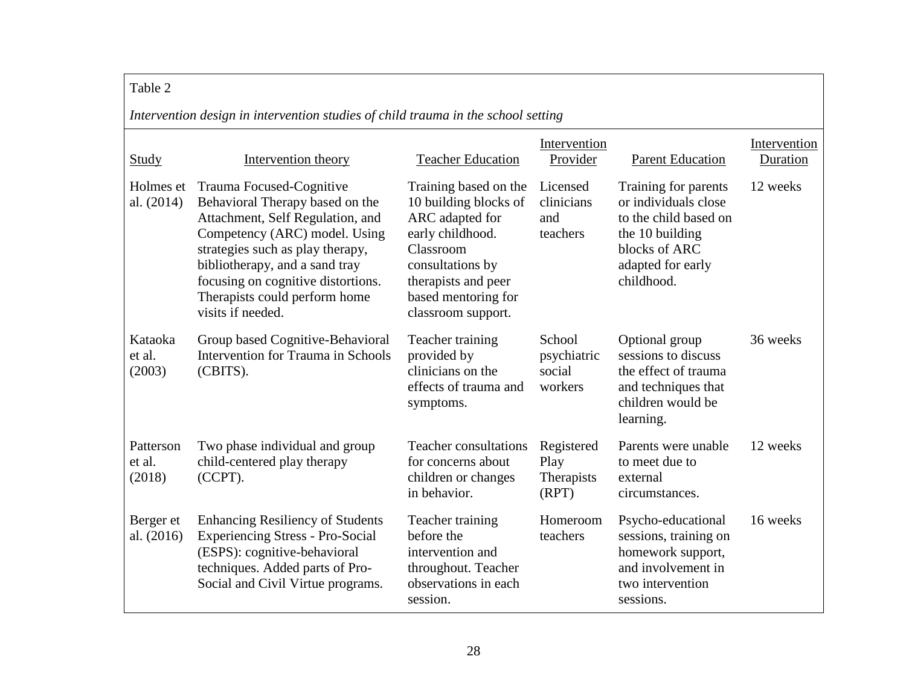## Table 2

*Intervention design in intervention studies of child trauma in the school setting*

<span id="page-35-0"></span>

| Study                         | Intervention theory                                                                                                                                                                                                                                                                                | <b>Teacher Education</b>                                                                                                                                                                   | Intervention<br>Provider                   | <b>Parent Education</b>                                                                                                                      | Intervention<br>Duration |
|-------------------------------|----------------------------------------------------------------------------------------------------------------------------------------------------------------------------------------------------------------------------------------------------------------------------------------------------|--------------------------------------------------------------------------------------------------------------------------------------------------------------------------------------------|--------------------------------------------|----------------------------------------------------------------------------------------------------------------------------------------------|--------------------------|
| Holmes et<br>al. $(2014)$     | Trauma Focused-Cognitive<br>Behavioral Therapy based on the<br>Attachment, Self Regulation, and<br>Competency (ARC) model. Using<br>strategies such as play therapy,<br>bibliotherapy, and a sand tray<br>focusing on cognitive distortions.<br>Therapists could perform home<br>visits if needed. | Training based on the<br>10 building blocks of<br>ARC adapted for<br>early childhood.<br>Classroom<br>consultations by<br>therapists and peer<br>based mentoring for<br>classroom support. | Licensed<br>clinicians<br>and<br>teachers  | Training for parents<br>or individuals close<br>to the child based on<br>the 10 building<br>blocks of ARC<br>adapted for early<br>childhood. | 12 weeks                 |
| Kataoka<br>et al.<br>(2003)   | Group based Cognitive-Behavioral<br><b>Intervention for Trauma in Schools</b><br>(CBITS).                                                                                                                                                                                                          | Teacher training<br>provided by<br>clinicians on the<br>effects of trauma and<br>symptoms.                                                                                                 | School<br>psychiatric<br>social<br>workers | Optional group<br>sessions to discuss<br>the effect of trauma<br>and techniques that<br>children would be<br>learning.                       | 36 weeks                 |
| Patterson<br>et al.<br>(2018) | Two phase individual and group<br>child-centered play therapy<br>(CCPT).                                                                                                                                                                                                                           | <b>Teacher consultations</b><br>for concerns about<br>children or changes<br>in behavior.                                                                                                  | Registered<br>Play<br>Therapists<br>(RPT)  | Parents were unable<br>to meet due to<br>external<br>circumstances.                                                                          | 12 weeks                 |
| Berger et<br>al. (2016)       | <b>Enhancing Resiliency of Students</b><br><b>Experiencing Stress - Pro-Social</b><br>(ESPS): cognitive-behavioral<br>techniques. Added parts of Pro-<br>Social and Civil Virtue programs.                                                                                                         | Teacher training<br>before the<br>intervention and<br>throughout. Teacher<br>observations in each<br>session.                                                                              | Homeroom<br>teachers                       | Psycho-educational<br>sessions, training on<br>homework support,<br>and involvement in<br>two intervention<br>sessions.                      | 16 weeks                 |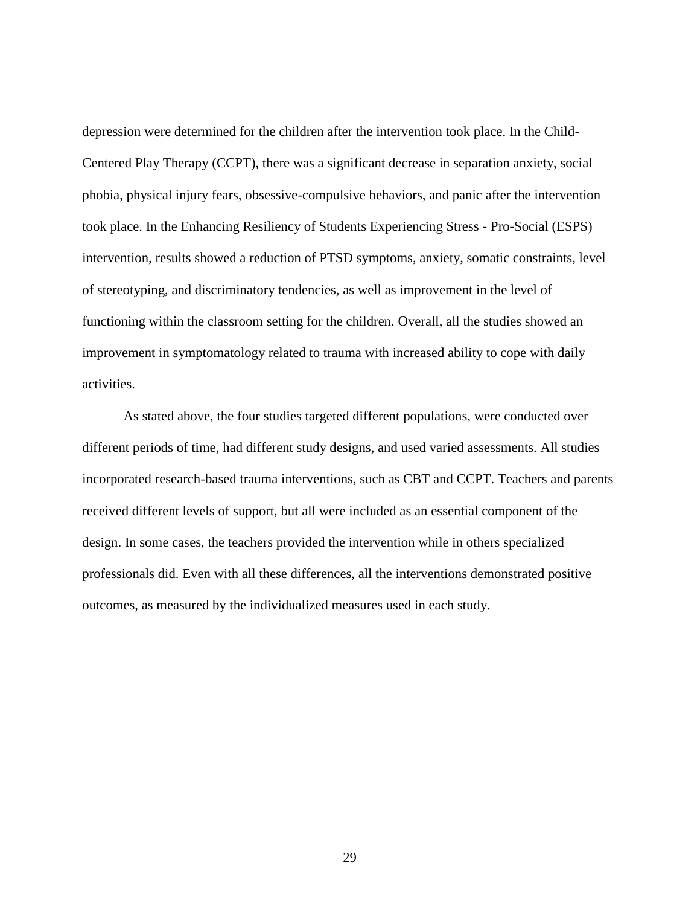depression were determined for the children after the intervention took place. In the Child-Centered Play Therapy (CCPT), there was a significant decrease in separation anxiety, social phobia, physical injury fears, obsessive-compulsive behaviors, and panic after the intervention took place. In the Enhancing Resiliency of Students Experiencing Stress - Pro-Social (ESPS) intervention, results showed a reduction of PTSD symptoms, anxiety, somatic constraints, level of stereotyping, and discriminatory tendencies, as well as improvement in the level of functioning within the classroom setting for the children. Overall, all the studies showed an improvement in symptomatology related to trauma with increased ability to cope with daily activities.

As stated above, the four studies targeted different populations, were conducted over different periods of time, had different study designs, and used varied assessments. All studies incorporated research-based trauma interventions, such as CBT and CCPT. Teachers and parents received different levels of support, but all were included as an essential component of the design. In some cases, the teachers provided the intervention while in others specialized professionals did. Even with all these differences, all the interventions demonstrated positive outcomes, as measured by the individualized measures used in each study.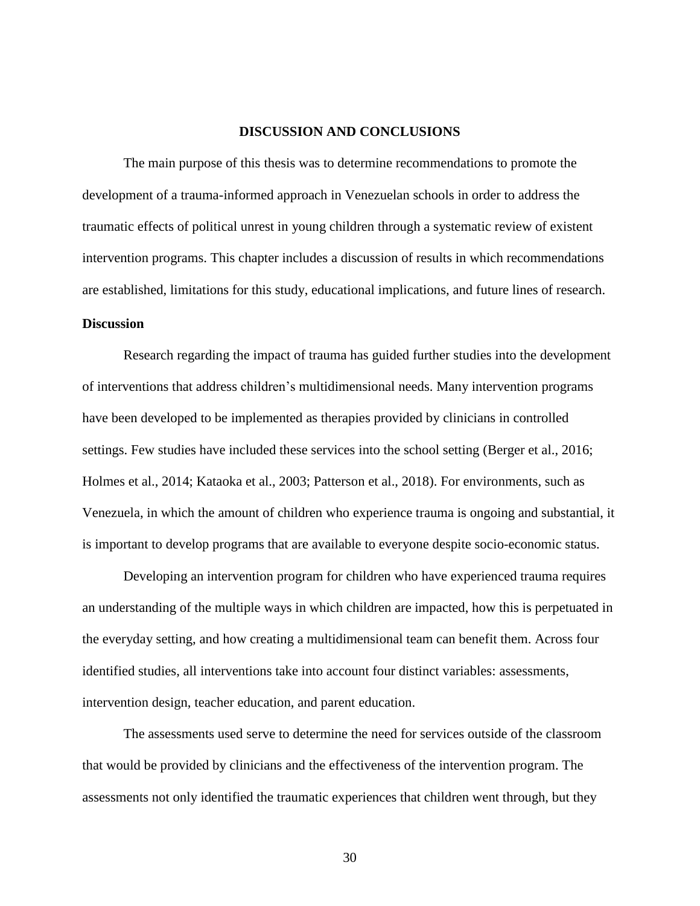#### **DISCUSSION AND CONCLUSIONS**

<span id="page-37-0"></span>The main purpose of this thesis was to determine recommendations to promote the development of a trauma-informed approach in Venezuelan schools in order to address the traumatic effects of political unrest in young children through a systematic review of existent intervention programs. This chapter includes a discussion of results in which recommendations are established, limitations for this study, educational implications, and future lines of research. **Discussion**

<span id="page-37-1"></span>Research regarding the impact of trauma has guided further studies into the development of interventions that address children's multidimensional needs. Many intervention programs have been developed to be implemented as therapies provided by clinicians in controlled settings. Few studies have included these services into the school setting (Berger et al., 2016; Holmes et al., 2014; Kataoka et al., 2003; Patterson et al., 2018). For environments, such as Venezuela, in which the amount of children who experience trauma is ongoing and substantial, it is important to develop programs that are available to everyone despite socio-economic status.

Developing an intervention program for children who have experienced trauma requires an understanding of the multiple ways in which children are impacted, how this is perpetuated in the everyday setting, and how creating a multidimensional team can benefit them. Across four identified studies, all interventions take into account four distinct variables: assessments, intervention design, teacher education, and parent education.

The assessments used serve to determine the need for services outside of the classroom that would be provided by clinicians and the effectiveness of the intervention program. The assessments not only identified the traumatic experiences that children went through, but they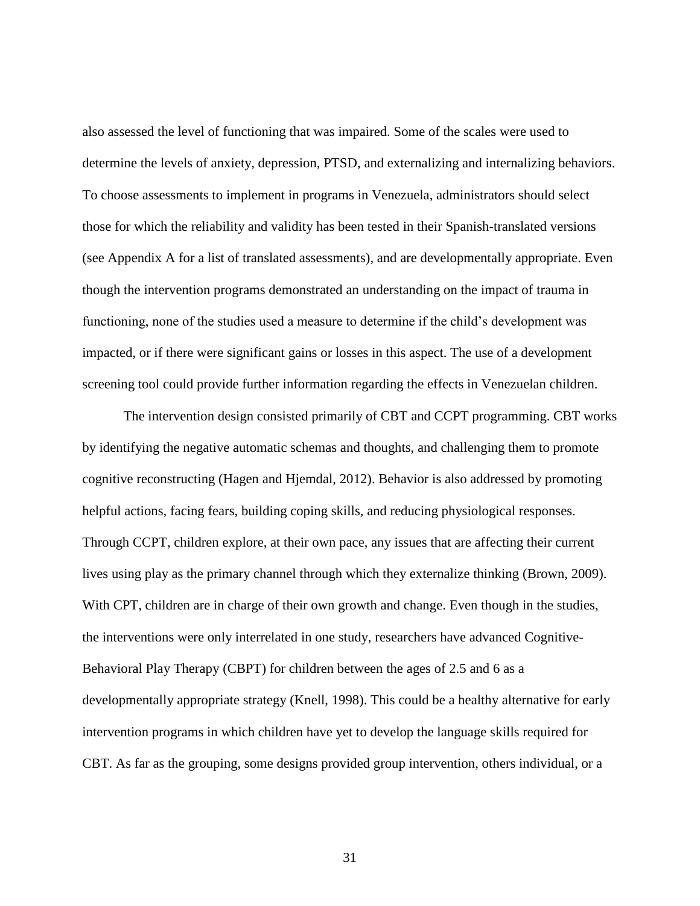also assessed the level of functioning that was impaired. Some of the scales were used to determine the levels of anxiety, depression, PTSD, and externalizing and internalizing behaviors. To choose assessments to implement in programs in Venezuela, administrators should select those for which the reliability and validity has been tested in their Spanish-translated versions (see Appendix A for a list of translated assessments), and are developmentally appropriate. Even though the intervention programs demonstrated an understanding on the impact of trauma in functioning, none of the studies used a measure to determine if the child's development was impacted, or if there were significant gains or losses in this aspect. The use of a development screening tool could provide further information regarding the effects in Venezuelan children.

The intervention design consisted primarily of CBT and CCPT programming. CBT works by identifying the negative automatic schemas and thoughts, and challenging them to promote cognitive reconstructing (Hagen and Hjemdal, 2012). Behavior is also addressed by promoting helpful actions, facing fears, building coping skills, and reducing physiological responses. Through CCPT, children explore, at their own pace, any issues that are affecting their current lives using play as the primary channel through which they externalize thinking (Brown, 2009). With CPT, children are in charge of their own growth and change. Even though in the studies, the interventions were only interrelated in one study, researchers have advanced Cognitive-Behavioral Play Therapy (CBPT) for children between the ages of 2.5 and 6 as a developmentally appropriate strategy (Knell, 1998). This could be a healthy alternative for early intervention programs in which children have yet to develop the language skills required for CBT. As far as the grouping, some designs provided group intervention, others individual, or a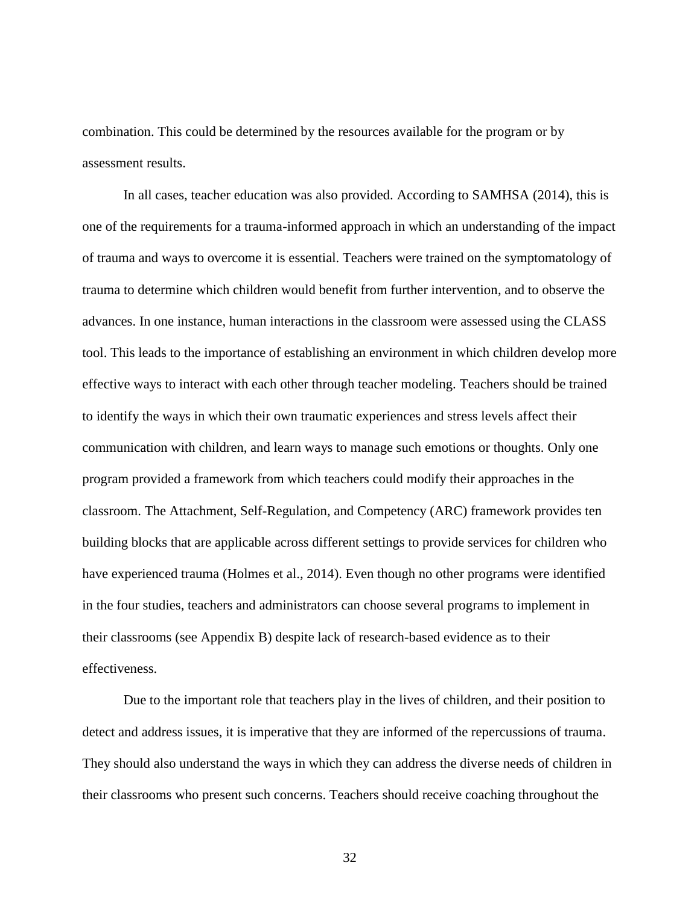combination. This could be determined by the resources available for the program or by assessment results.

In all cases, teacher education was also provided. According to SAMHSA (2014), this is one of the requirements for a trauma-informed approach in which an understanding of the impact of trauma and ways to overcome it is essential. Teachers were trained on the symptomatology of trauma to determine which children would benefit from further intervention, and to observe the advances. In one instance, human interactions in the classroom were assessed using the CLASS tool. This leads to the importance of establishing an environment in which children develop more effective ways to interact with each other through teacher modeling. Teachers should be trained to identify the ways in which their own traumatic experiences and stress levels affect their communication with children, and learn ways to manage such emotions or thoughts. Only one program provided a framework from which teachers could modify their approaches in the classroom. The Attachment, Self-Regulation, and Competency (ARC) framework provides ten building blocks that are applicable across different settings to provide services for children who have experienced trauma (Holmes et al., 2014). Even though no other programs were identified in the four studies, teachers and administrators can choose several programs to implement in their classrooms (see Appendix B) despite lack of research-based evidence as to their effectiveness.

Due to the important role that teachers play in the lives of children, and their position to detect and address issues, it is imperative that they are informed of the repercussions of trauma. They should also understand the ways in which they can address the diverse needs of children in their classrooms who present such concerns. Teachers should receive coaching throughout the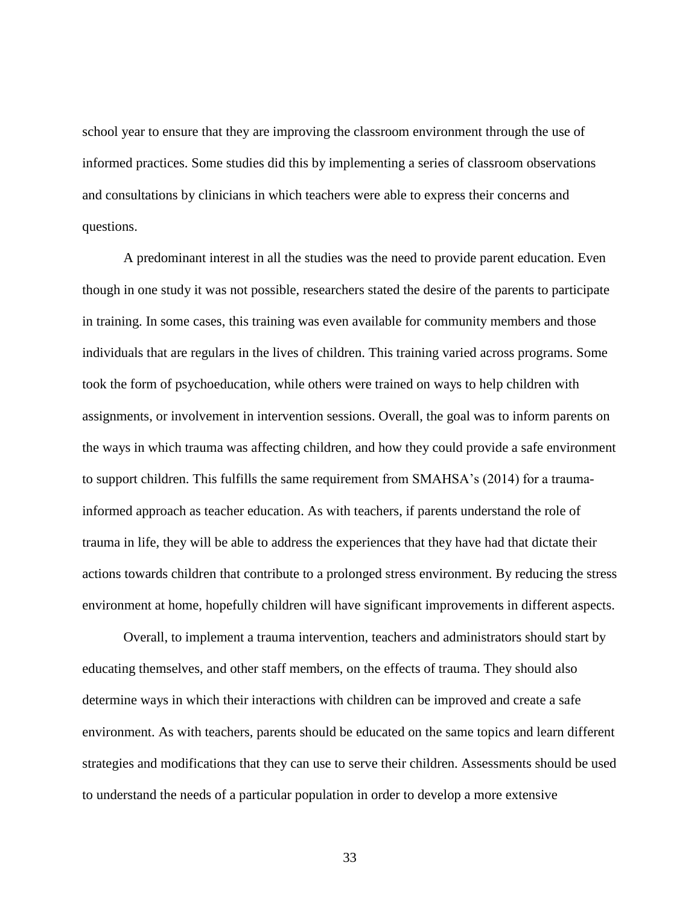school year to ensure that they are improving the classroom environment through the use of informed practices. Some studies did this by implementing a series of classroom observations and consultations by clinicians in which teachers were able to express their concerns and questions.

A predominant interest in all the studies was the need to provide parent education. Even though in one study it was not possible, researchers stated the desire of the parents to participate in training. In some cases, this training was even available for community members and those individuals that are regulars in the lives of children. This training varied across programs. Some took the form of psychoeducation, while others were trained on ways to help children with assignments, or involvement in intervention sessions. Overall, the goal was to inform parents on the ways in which trauma was affecting children, and how they could provide a safe environment to support children. This fulfills the same requirement from SMAHSA's (2014) for a traumainformed approach as teacher education. As with teachers, if parents understand the role of trauma in life, they will be able to address the experiences that they have had that dictate their actions towards children that contribute to a prolonged stress environment. By reducing the stress environment at home, hopefully children will have significant improvements in different aspects.

Overall, to implement a trauma intervention, teachers and administrators should start by educating themselves, and other staff members, on the effects of trauma. They should also determine ways in which their interactions with children can be improved and create a safe environment. As with teachers, parents should be educated on the same topics and learn different strategies and modifications that they can use to serve their children. Assessments should be used to understand the needs of a particular population in order to develop a more extensive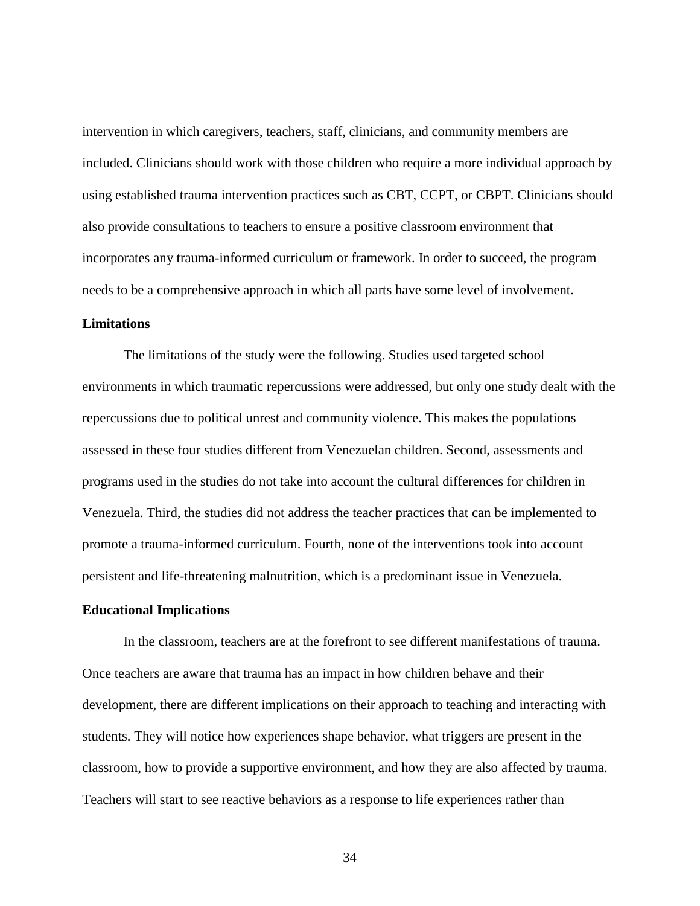intervention in which caregivers, teachers, staff, clinicians, and community members are included. Clinicians should work with those children who require a more individual approach by using established trauma intervention practices such as CBT, CCPT, or CBPT. Clinicians should also provide consultations to teachers to ensure a positive classroom environment that incorporates any trauma-informed curriculum or framework. In order to succeed, the program needs to be a comprehensive approach in which all parts have some level of involvement.

#### <span id="page-41-0"></span>**Limitations**

The limitations of the study were the following. Studies used targeted school environments in which traumatic repercussions were addressed, but only one study dealt with the repercussions due to political unrest and community violence. This makes the populations assessed in these four studies different from Venezuelan children. Second, assessments and programs used in the studies do not take into account the cultural differences for children in Venezuela. Third, the studies did not address the teacher practices that can be implemented to promote a trauma-informed curriculum. Fourth, none of the interventions took into account persistent and life-threatening malnutrition, which is a predominant issue in Venezuela.

#### <span id="page-41-1"></span>**Educational Implications**

In the classroom, teachers are at the forefront to see different manifestations of trauma. Once teachers are aware that trauma has an impact in how children behave and their development, there are different implications on their approach to teaching and interacting with students. They will notice how experiences shape behavior, what triggers are present in the classroom, how to provide a supportive environment, and how they are also affected by trauma. Teachers will start to see reactive behaviors as a response to life experiences rather than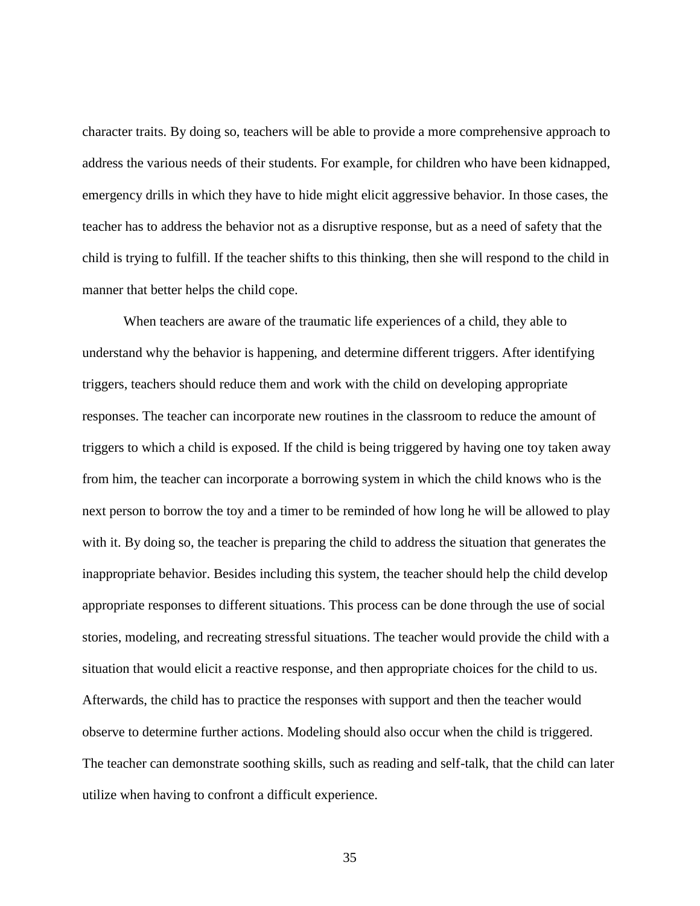character traits. By doing so, teachers will be able to provide a more comprehensive approach to address the various needs of their students. For example, for children who have been kidnapped, emergency drills in which they have to hide might elicit aggressive behavior. In those cases, the teacher has to address the behavior not as a disruptive response, but as a need of safety that the child is trying to fulfill. If the teacher shifts to this thinking, then she will respond to the child in manner that better helps the child cope.

When teachers are aware of the traumatic life experiences of a child, they able to understand why the behavior is happening, and determine different triggers. After identifying triggers, teachers should reduce them and work with the child on developing appropriate responses. The teacher can incorporate new routines in the classroom to reduce the amount of triggers to which a child is exposed. If the child is being triggered by having one toy taken away from him, the teacher can incorporate a borrowing system in which the child knows who is the next person to borrow the toy and a timer to be reminded of how long he will be allowed to play with it. By doing so, the teacher is preparing the child to address the situation that generates the inappropriate behavior. Besides including this system, the teacher should help the child develop appropriate responses to different situations. This process can be done through the use of social stories, modeling, and recreating stressful situations. The teacher would provide the child with a situation that would elicit a reactive response, and then appropriate choices for the child to us. Afterwards, the child has to practice the responses with support and then the teacher would observe to determine further actions. Modeling should also occur when the child is triggered. The teacher can demonstrate soothing skills, such as reading and self-talk, that the child can later utilize when having to confront a difficult experience.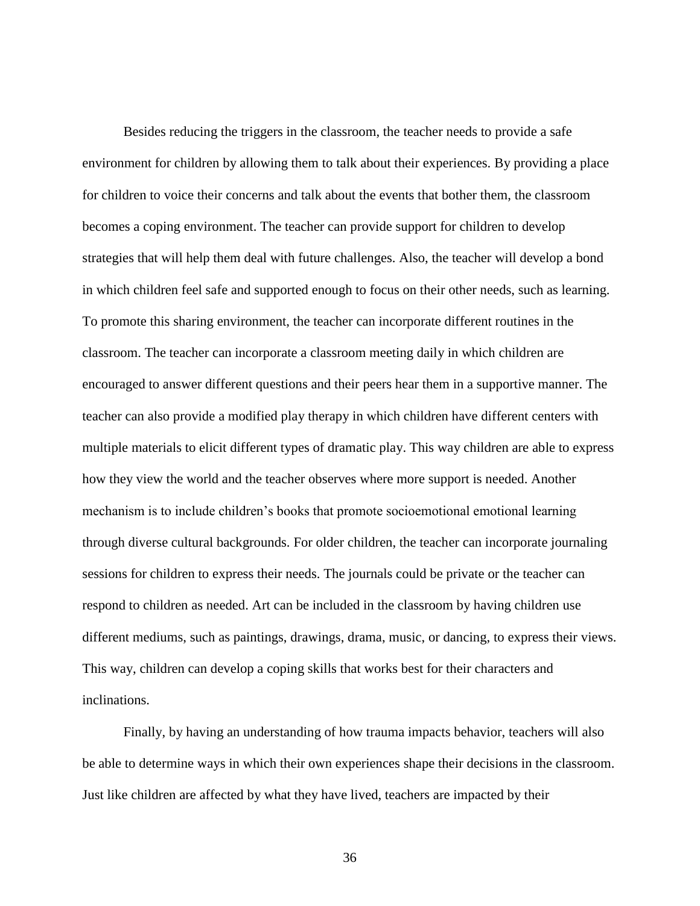Besides reducing the triggers in the classroom, the teacher needs to provide a safe environment for children by allowing them to talk about their experiences. By providing a place for children to voice their concerns and talk about the events that bother them, the classroom becomes a coping environment. The teacher can provide support for children to develop strategies that will help them deal with future challenges. Also, the teacher will develop a bond in which children feel safe and supported enough to focus on their other needs, such as learning. To promote this sharing environment, the teacher can incorporate different routines in the classroom. The teacher can incorporate a classroom meeting daily in which children are encouraged to answer different questions and their peers hear them in a supportive manner. The teacher can also provide a modified play therapy in which children have different centers with multiple materials to elicit different types of dramatic play. This way children are able to express how they view the world and the teacher observes where more support is needed. Another mechanism is to include children's books that promote socioemotional emotional learning through diverse cultural backgrounds. For older children, the teacher can incorporate journaling sessions for children to express their needs. The journals could be private or the teacher can respond to children as needed. Art can be included in the classroom by having children use different mediums, such as paintings, drawings, drama, music, or dancing, to express their views. This way, children can develop a coping skills that works best for their characters and inclinations.

Finally, by having an understanding of how trauma impacts behavior, teachers will also be able to determine ways in which their own experiences shape their decisions in the classroom. Just like children are affected by what they have lived, teachers are impacted by their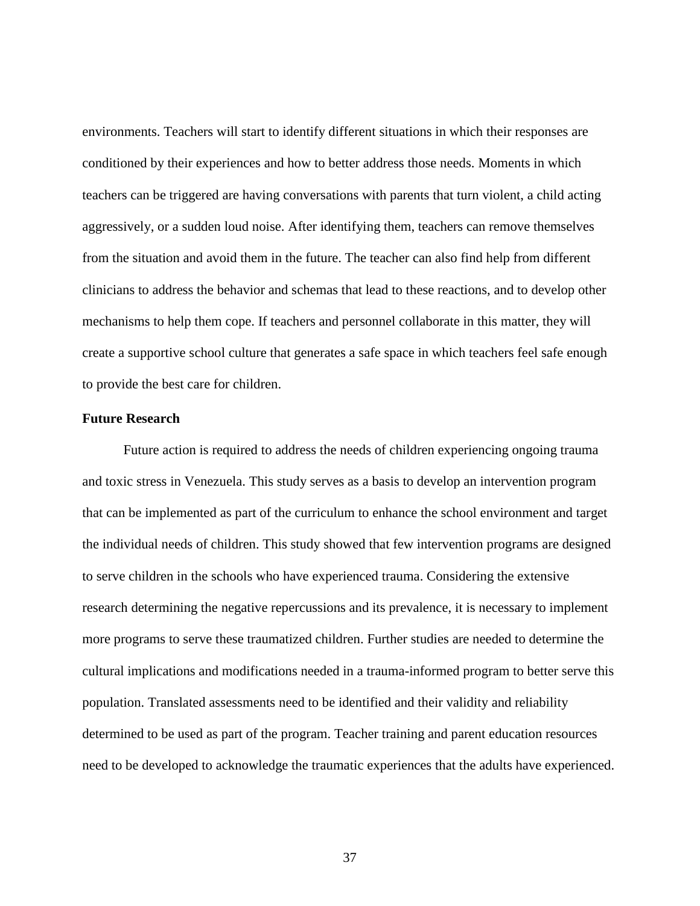environments. Teachers will start to identify different situations in which their responses are conditioned by their experiences and how to better address those needs. Moments in which teachers can be triggered are having conversations with parents that turn violent, a child acting aggressively, or a sudden loud noise. After identifying them, teachers can remove themselves from the situation and avoid them in the future. The teacher can also find help from different clinicians to address the behavior and schemas that lead to these reactions, and to develop other mechanisms to help them cope. If teachers and personnel collaborate in this matter, they will create a supportive school culture that generates a safe space in which teachers feel safe enough to provide the best care for children.

#### **Future Research**

Future action is required to address the needs of children experiencing ongoing trauma and toxic stress in Venezuela. This study serves as a basis to develop an intervention program that can be implemented as part of the curriculum to enhance the school environment and target the individual needs of children. This study showed that few intervention programs are designed to serve children in the schools who have experienced trauma. Considering the extensive research determining the negative repercussions and its prevalence, it is necessary to implement more programs to serve these traumatized children. Further studies are needed to determine the cultural implications and modifications needed in a trauma-informed program to better serve this population. Translated assessments need to be identified and their validity and reliability determined to be used as part of the program. Teacher training and parent education resources need to be developed to acknowledge the traumatic experiences that the adults have experienced.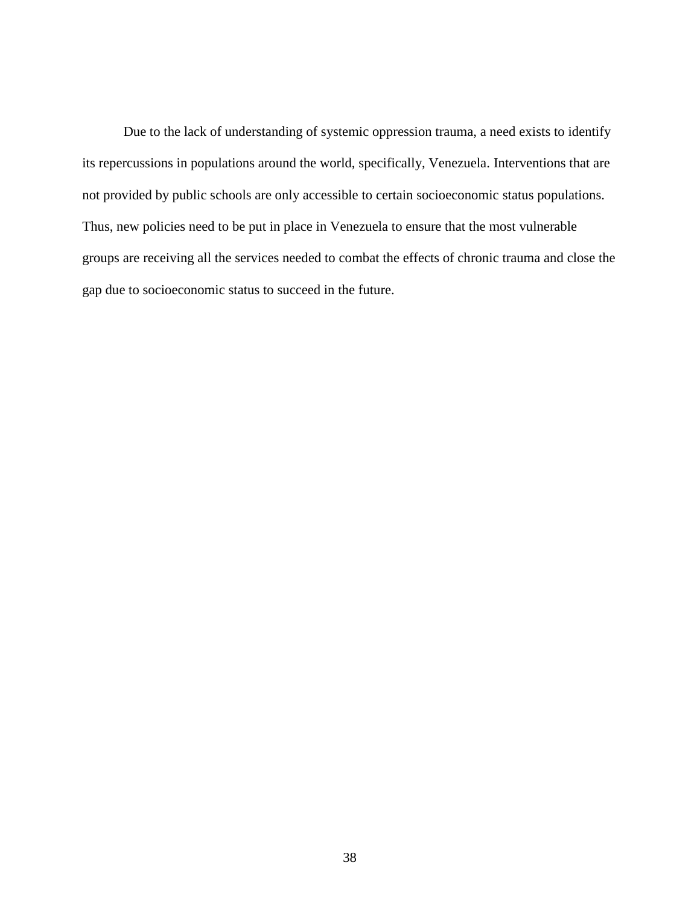Due to the lack of understanding of systemic oppression trauma, a need exists to identify its repercussions in populations around the world, specifically, Venezuela. Interventions that are not provided by public schools are only accessible to certain socioeconomic status populations. Thus, new policies need to be put in place in Venezuela to ensure that the most vulnerable groups are receiving all the services needed to combat the effects of chronic trauma and close the gap due to socioeconomic status to succeed in the future.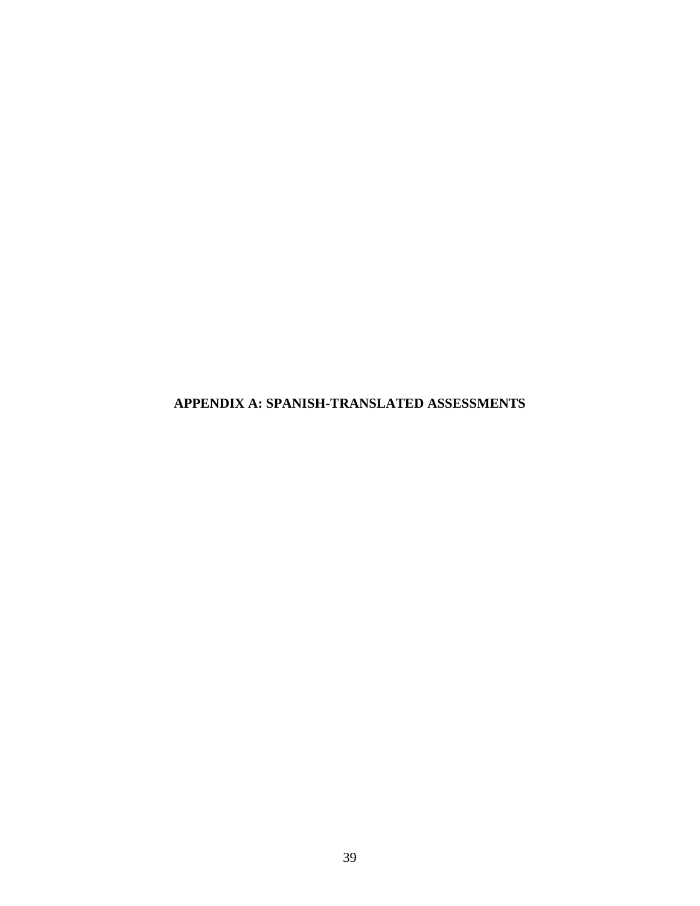<span id="page-46-0"></span>**APPENDIX A: SPANISH-TRANSLATED ASSESSMENTS**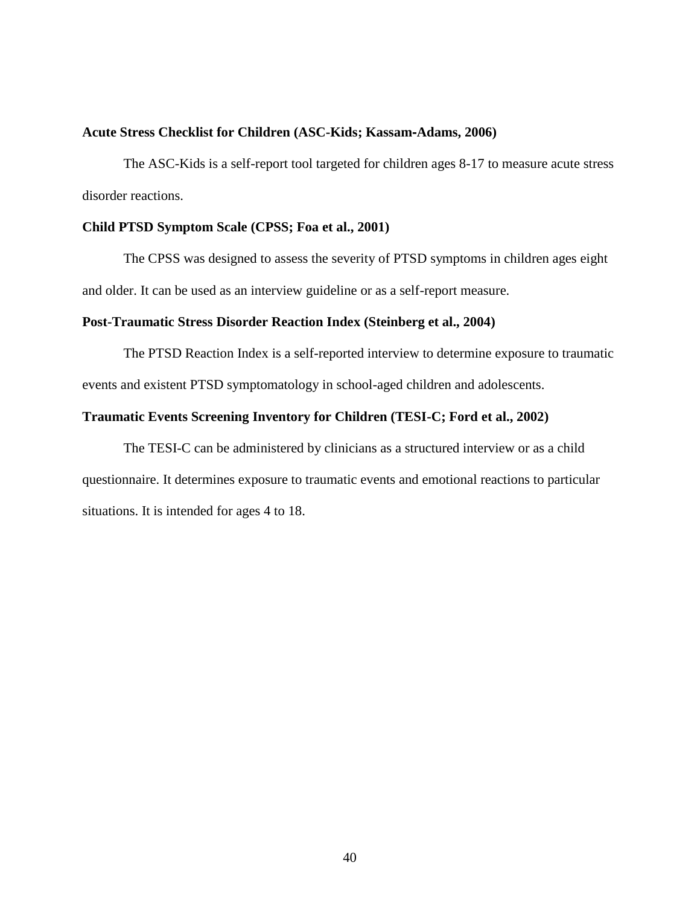#### **Acute Stress Checklist for Children (ASC-Kids; Kassam**‐**Adams, 2006)**

The ASC-Kids is a self-report tool targeted for children ages 8-17 to measure acute stress disorder reactions.

#### **Child PTSD Symptom Scale (CPSS; Foa et al., 2001)**

The CPSS was designed to assess the severity of PTSD symptoms in children ages eight and older. It can be used as an interview guideline or as a self-report measure.

#### **Post-Traumatic Stress Disorder Reaction Index (Steinberg et al., 2004)**

The PTSD Reaction Index is a self-reported interview to determine exposure to traumatic events and existent PTSD symptomatology in school-aged children and adolescents.

#### **Traumatic Events Screening Inventory for Children (TESI-C; Ford et al., 2002)**

The TESI-C can be administered by clinicians as a structured interview or as a child questionnaire. It determines exposure to traumatic events and emotional reactions to particular situations. It is intended for ages 4 to 18.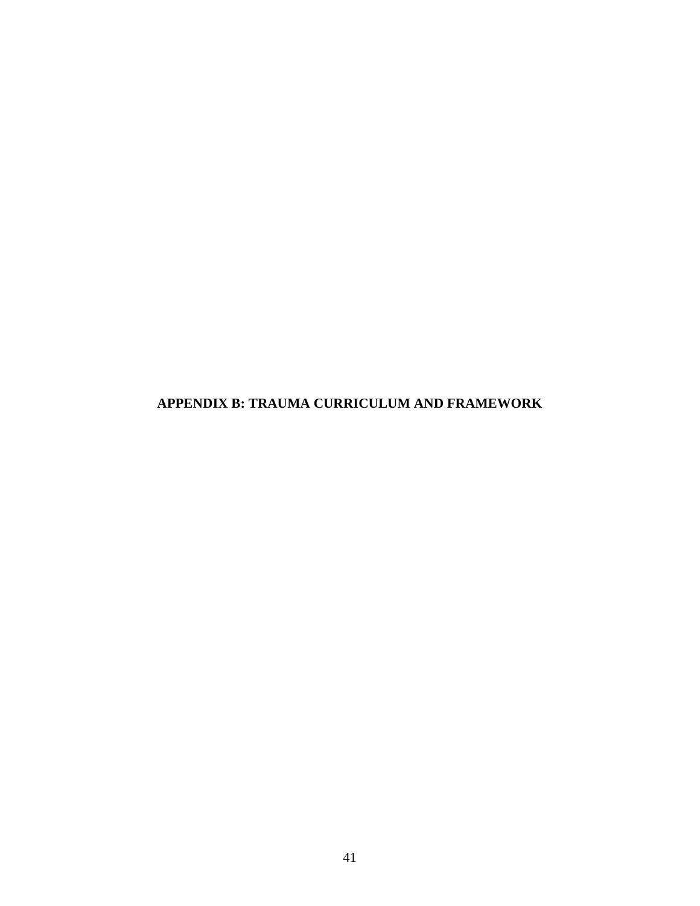## <span id="page-48-0"></span>**APPENDIX B: TRAUMA CURRICULUM AND FRAMEWORK**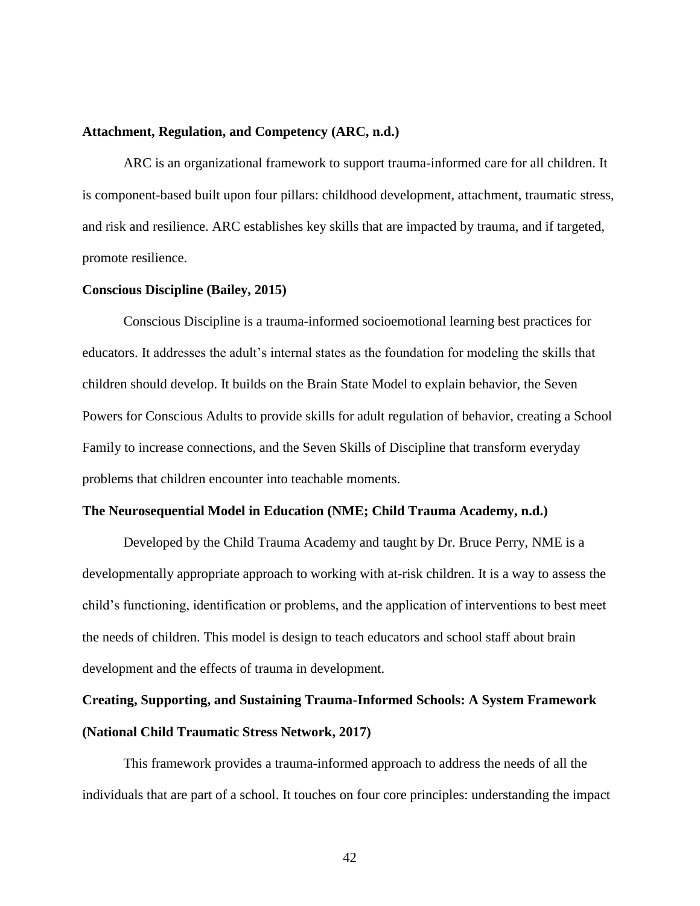#### **Attachment, Regulation, and Competency (ARC, n.d.)**

ARC is an organizational framework to support trauma-informed care for all children. It is component-based built upon four pillars: childhood development, attachment, traumatic stress, and risk and resilience. ARC establishes key skills that are impacted by trauma, and if targeted, promote resilience.

#### **Conscious Discipline (Bailey, 2015)**

Conscious Discipline is a trauma-informed socioemotional learning best practices for educators. It addresses the adult's internal states as the foundation for modeling the skills that children should develop. It builds on the Brain State Model to explain behavior, the Seven Powers for Conscious Adults to provide skills for adult regulation of behavior, creating a School Family to increase connections, and the Seven Skills of Discipline that transform everyday problems that children encounter into teachable moments.

#### **The Neurosequential Model in Education (NME; Child Trauma Academy, n.d.)**

Developed by the Child Trauma Academy and taught by Dr. Bruce Perry, NME is a developmentally appropriate approach to working with at-risk children. It is a way to assess the child's functioning, identification or problems, and the application of interventions to best meet the needs of children. This model is design to teach educators and school staff about brain development and the effects of trauma in development.

## **Creating, Supporting, and Sustaining Trauma-Informed Schools: A System Framework (National Child Traumatic Stress Network, 2017)**

This framework provides a trauma-informed approach to address the needs of all the individuals that are part of a school. It touches on four core principles: understanding the impact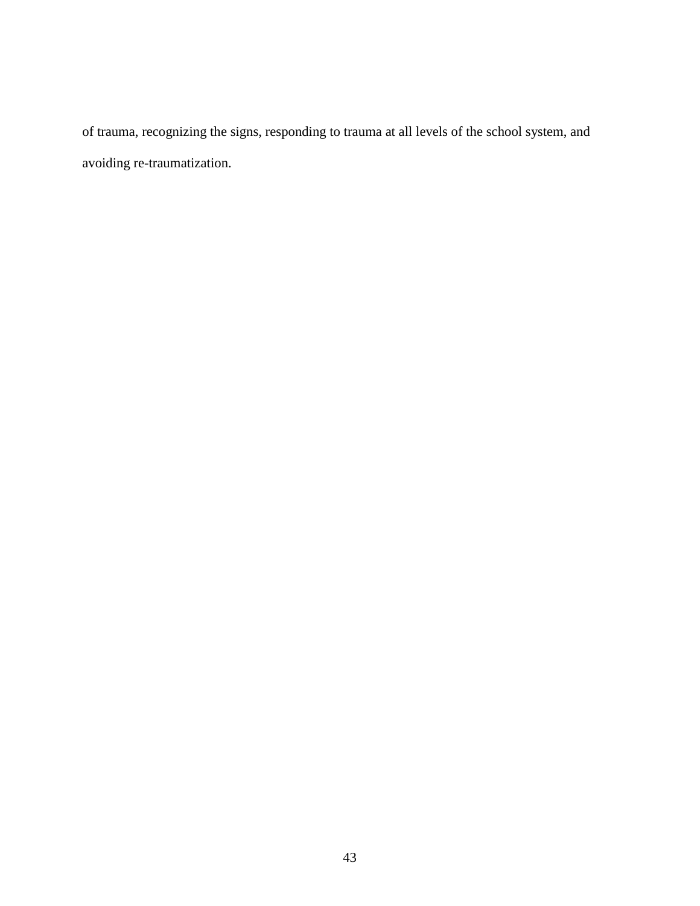of trauma, recognizing the signs, responding to trauma at all levels of the school system, and avoiding re-traumatization.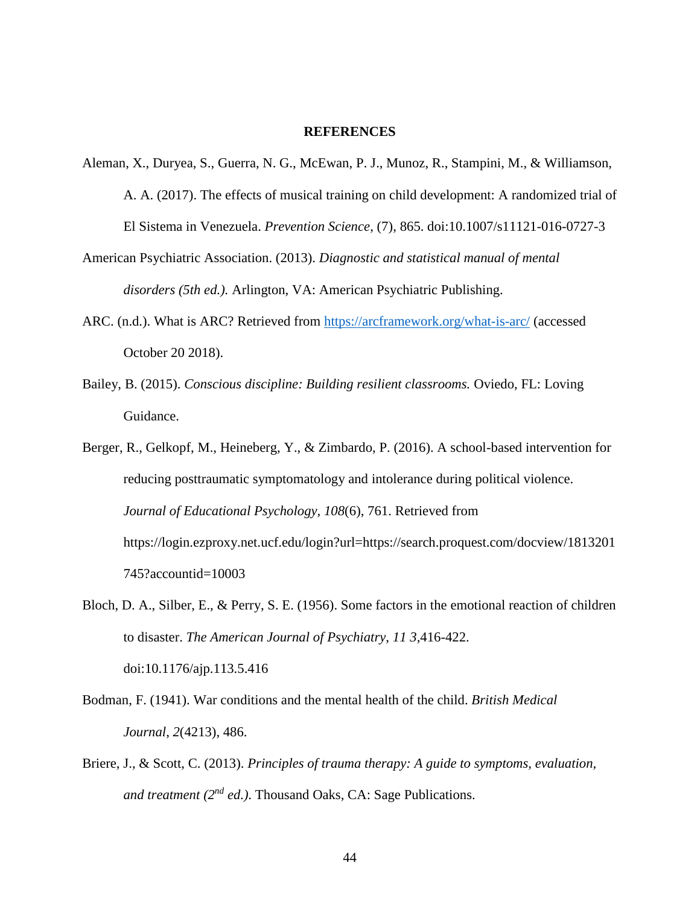#### **REFERENCES**

- <span id="page-51-0"></span>Aleman, X., Duryea, S., Guerra, N. G., McEwan, P. J., Munoz, R., Stampini, M., & Williamson, A. A. (2017). The effects of musical training on child development: A randomized trial of El Sistema in Venezuela. *Prevention Science*, (7), 865. doi:10.1007/s11121-016-0727-3
- American Psychiatric Association. (2013). *Diagnostic and statistical manual of mental disorders (5th ed.).* Arlington, VA: American Psychiatric Publishing.
- ARC. (n.d.). What is ARC? Retrieved from<https://arcframework.org/what-is-arc/> (accessed October 20 2018).
- Bailey, B. (2015). *Conscious discipline: Building resilient classrooms.* Oviedo, FL: Loving Guidance.
- Berger, R., Gelkopf, M., Heineberg, Y., & Zimbardo, P. (2016). A school-based intervention for reducing posttraumatic symptomatology and intolerance during political violence. *Journal of Educational Psychology, 108*(6), 761. Retrieved from https://login.ezproxy.net.ucf.edu/login?url=https://search.proquest.com/docview/1813201 745?accountid=10003
- Bloch, D. A., Silber, E., & Perry, S. E. (1956). Some factors in the emotional reaction of children to disaster. *The American Journal of Psychiatry*, *11 3,*416-422. doi:10.1176/ajp.113.5.416
- Bodman, F. (1941). War conditions and the mental health of the child. *British Medical Journal*, *2*(4213), 486.
- Briere, J., & Scott, C. (2013). *Principles of trauma therapy: A guide to symptoms, evaluation, and treatment (2nd ed.)*. Thousand Oaks, CA: Sage Publications.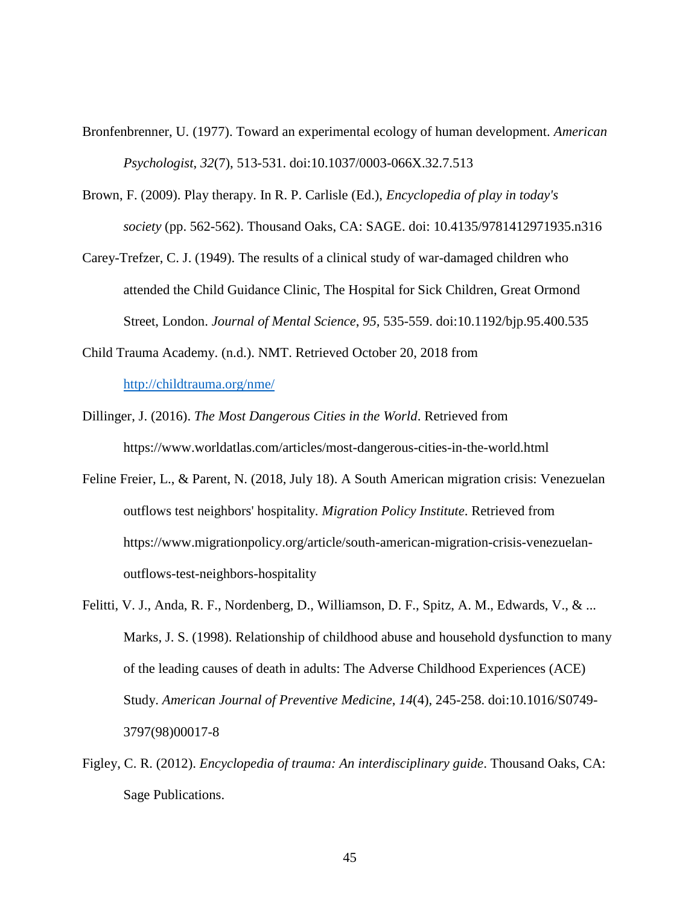- Bronfenbrenner, U. (1977). Toward an experimental ecology of human development. *American Psychologist*, *32*(7), 513-531. doi:10.1037/0003-066X.32.7.513
- Brown, F. (2009). Play therapy. In R. P. Carlisle (Ed.), *Encyclopedia of play in today's society* (pp. 562-562). Thousand Oaks, CA: SAGE. doi: 10.4135/9781412971935.n316
- Carey-Trefzer, C. J. (1949). The results of a clinical study of war-damaged children who attended the Child Guidance Clinic, The Hospital for Sick Children, Great Ormond Street, London. *Journal of Mental Science*, *95,* 535-559. doi:10.1192/bjp.95.400.535
- Child Trauma Academy. (n.d.). NMT. Retrieved October 20, 2018 from <http://childtrauma.org/nme/>
- Dillinger, J. (2016). *The Most Dangerous Cities in the World*. Retrieved from https://www.worldatlas.com/articles/most-dangerous-cities-in-the-world.html
- Feline Freier, L., & Parent, N. (2018, July 18). A South American migration crisis: Venezuelan outflows test neighbors' hospitality. *Migration Policy Institute*. Retrieved from https://www.migrationpolicy.org/article/south-american-migration-crisis-venezuelanoutflows-test-neighbors-hospitality
- Felitti, V. J., Anda, R. F., Nordenberg, D., Williamson, D. F., Spitz, A. M., Edwards, V., & ... Marks, J. S. (1998). Relationship of childhood abuse and household dysfunction to many of the leading causes of death in adults: The Adverse Childhood Experiences (ACE) Study. *American Journal of Preventive Medicine*, *14*(4), 245-258. doi:10.1016/S0749- 3797(98)00017-8
- Figley, C. R. (2012). *Encyclopedia of trauma: An interdisciplinary guide*. Thousand Oaks, CA: Sage Publications.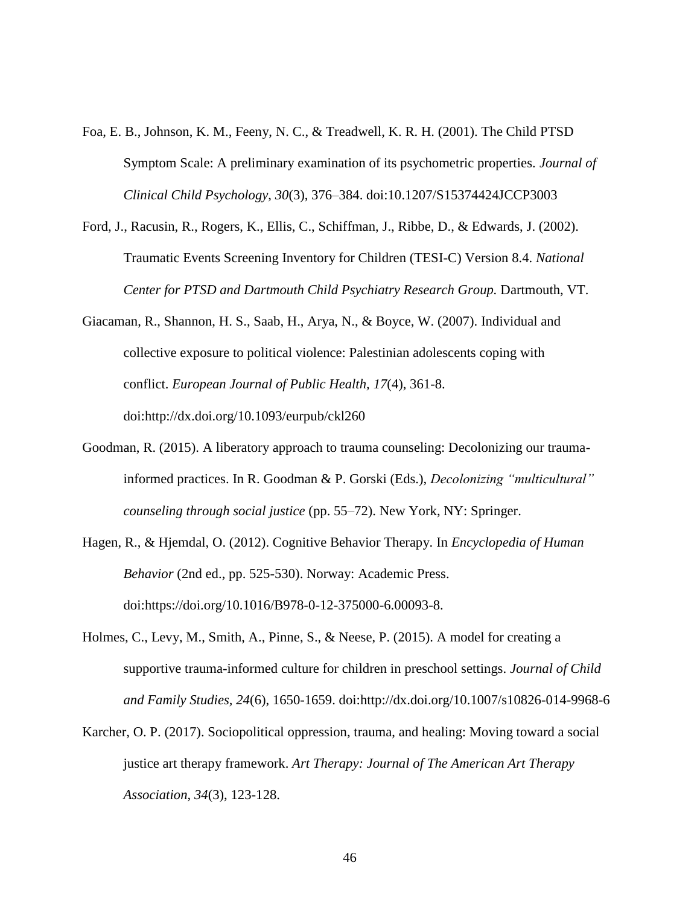- Foa, E. B., Johnson, K. M., Feeny, N. C., & Treadwell, K. R. H. (2001). The Child PTSD Symptom Scale: A preliminary examination of its psychometric properties. *Journal of Clinical Child Psychology*, *30*(3), 376–384. doi:10.1207/S15374424JCCP3003
- Ford, J., Racusin, R., Rogers, K., Ellis, C., Schiffman, J., Ribbe, D., & Edwards, J. (2002). Traumatic Events Screening Inventory for Children (TESI-C) Version 8.4. *National Center for PTSD and Dartmouth Child Psychiatry Research Group.* Dartmouth, VT.
- Giacaman, R., Shannon, H. S., Saab, H., Arya, N., & Boyce, W. (2007). Individual and collective exposure to political violence: Palestinian adolescents coping with conflict. *European Journal of Public Health, 17*(4), 361-8. doi:http://dx.doi.org/10.1093/eurpub/ckl260
- Goodman, R. (2015). A liberatory approach to trauma counseling: Decolonizing our traumainformed practices. In R. Goodman & P. Gorski (Eds.), *Decolonizing "multicultural" counseling through social justice* (pp. 55–72). New York, NY: Springer.
- Hagen, R., & Hjemdal, O. (2012). Cognitive Behavior Therapy. In *Encyclopedia of Human Behavior* (2nd ed., pp. 525-530). Norway: Academic Press. doi:https://doi.org/10.1016/B978-0-12-375000-6.00093-8.
- Holmes, C., Levy, M., Smith, A., Pinne, S., & Neese, P. (2015). A model for creating a supportive trauma-informed culture for children in preschool settings. *Journal of Child and Family Studies, 24*(6), 1650-1659. doi:http://dx.doi.org/10.1007/s10826-014-9968-6
- Karcher, O. P. (2017). Sociopolitical oppression, trauma, and healing: Moving toward a social justice art therapy framework. *Art Therapy: Journal of The American Art Therapy Association*, *34*(3), 123-128.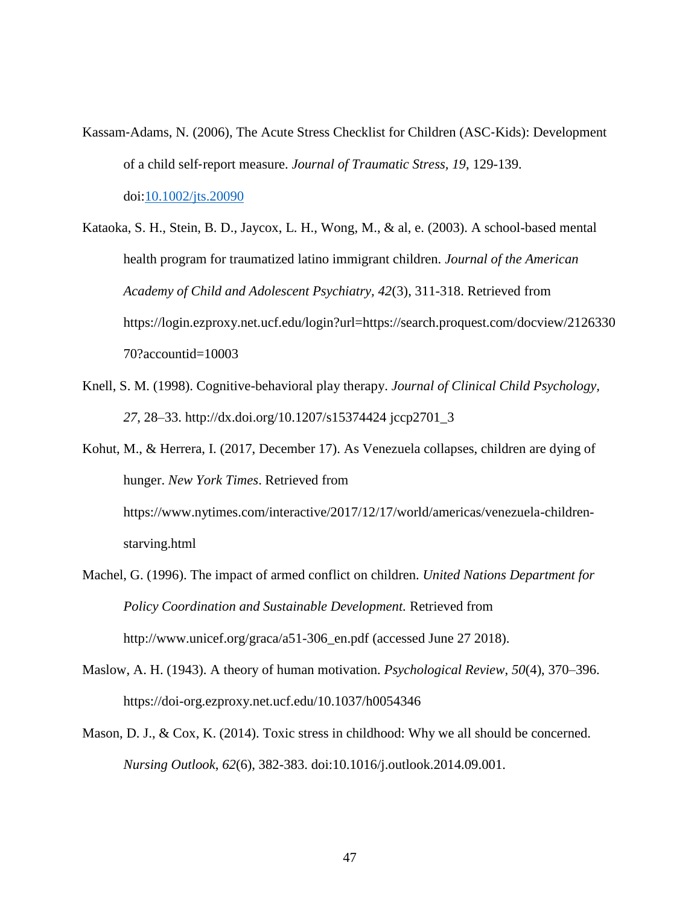- Kassam‐Adams, N. (2006), The Acute Stress Checklist for Children (ASC‐Kids): Development of a child self‐report measure. *Journal of Traumatic Stress, 19*, 129-139. doi[:10.1002/jts.20090](https://doi-org.ezproxy.net.ucf.edu/10.1002/jts.20090)
- Kataoka, S. H., Stein, B. D., Jaycox, L. H., Wong, M., & al, e. (2003). A school-based mental health program for traumatized latino immigrant children. *Journal of the American Academy of Child and Adolescent Psychiatry, 42*(3), 311-318. Retrieved from https://login.ezproxy.net.ucf.edu/login?url=https://search.proquest.com/docview/2126330 70?accountid=10003
- Knell, S. M. (1998). Cognitive-behavioral play therapy. *Journal of Clinical Child Psychology, 27*, 28–33. http://dx.doi.org/10.1207/s15374424 jccp2701\_3

Kohut, M., & Herrera, I. (2017, December 17). As Venezuela collapses, children are dying of hunger. *New York Times*. Retrieved from https://www.nytimes.com/interactive/2017/12/17/world/americas/venezuela-childrenstarving.html

- Machel, G. (1996). The impact of armed conflict on children. *United Nations Department for Policy Coordination and Sustainable Development.* Retrieved from http://www.unicef.org/graca/a51-306\_en.pdf (accessed June 27 2018).
- Maslow, A. H. (1943). A theory of human motivation. *Psychological Review*, *50*(4), 370–396. https://doi-org.ezproxy.net.ucf.edu/10.1037/h0054346
- Mason, D. J., & Cox, K. (2014). Toxic stress in childhood: Why we all should be concerned. *Nursing Outlook*, *62*(6), 382-383. doi:10.1016/j.outlook.2014.09.001.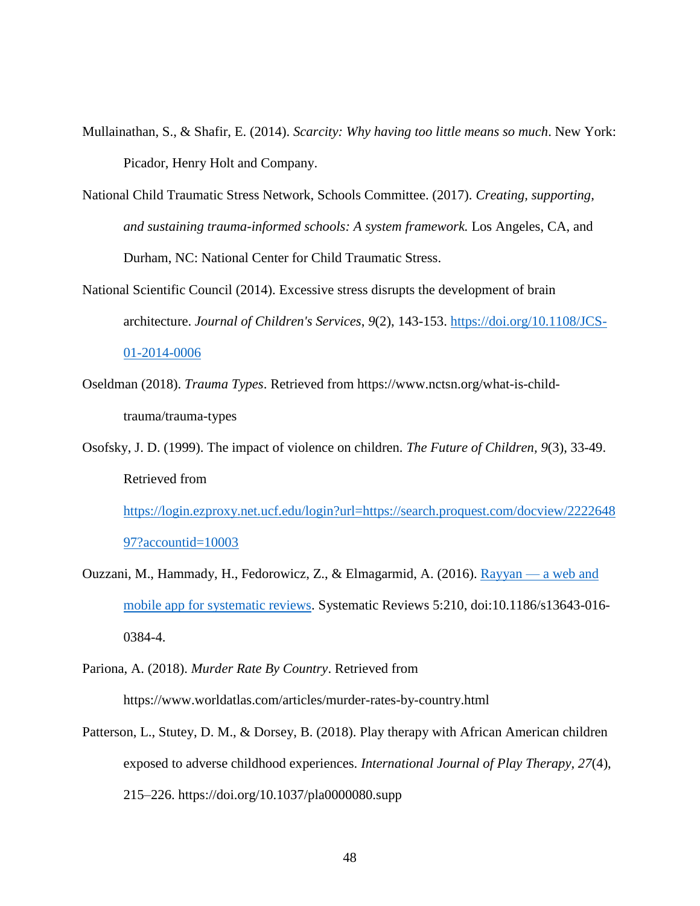- Mullainathan, S., & Shafir, E. (2014). *Scarcity: Why having too little means so much*. New York: Picador, Henry Holt and Company.
- National Child Traumatic Stress Network, Schools Committee. (2017). *Creating, supporting, and sustaining trauma-informed schools: A system framework.* Los Angeles, CA, and Durham, NC: National Center for Child Traumatic Stress.
- National Scientific Council (2014). Excessive stress disrupts the development of brain architecture. *Journal of Children's Services*, *9*(2), 143-153. [https://doi.org/10.1108/JCS-](https://doi.org/10.1108/JCS-01-2014-0006)[01-2014-0006](https://doi.org/10.1108/JCS-01-2014-0006)
- Oseldman (2018). *Trauma Types*. Retrieved from https://www.nctsn.org/what-is-childtrauma/trauma-types
- Osofsky, J. D. (1999). The impact of violence on children. *The Future of Children, 9*(3), 33-49. Retrieved from [https://login.ezproxy.net.ucf.edu/login?url=https://search.proquest.com/docview/2222648](https://login.ezproxy.net.ucf.edu/login?url=https://search.proquest.com/docview/222264897?accountid=10003)

```
97?accountid=10003
```
- Ouzzani, M., Hammady, H., Fedorowicz, Z., & Elmagarmid, A. (2016). [Rayyan —](http://rdcu.be/nzDM) a web and [mobile app for systematic reviews.](http://rdcu.be/nzDM) Systematic Reviews 5:210, doi:10.1186/s13643-016- 0384-4.
- Pariona, A. (2018). *Murder Rate By Country*. Retrieved from https://www.worldatlas.com/articles/murder-rates-by-country.html
- Patterson, L., Stutey, D. M., & Dorsey, B. (2018). Play therapy with African American children exposed to adverse childhood experiences. *International Journal of Play Therapy, 27*(4), 215–226. https://doi.org/10.1037/pla0000080.supp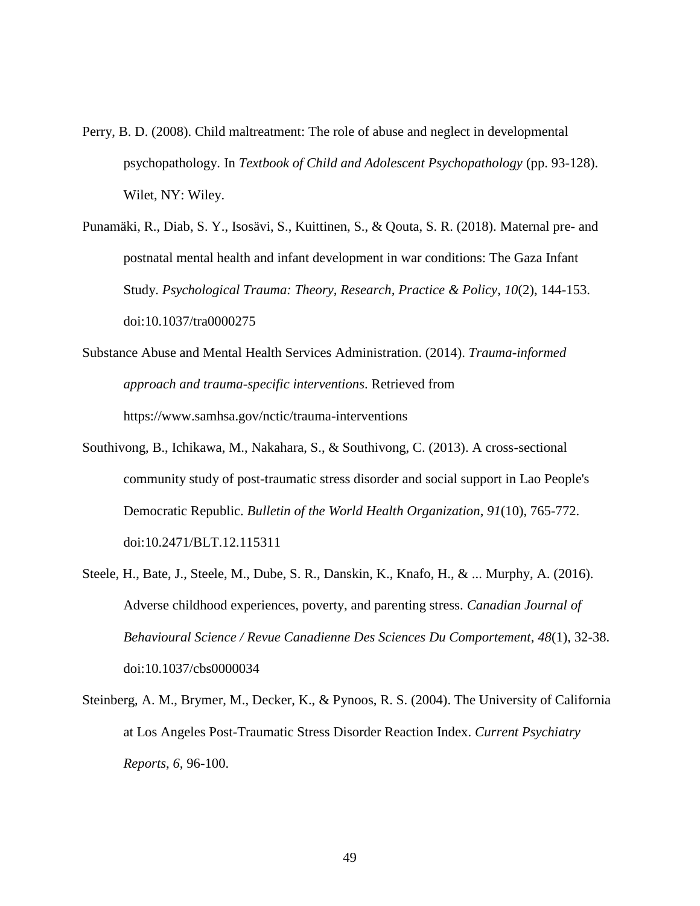- Perry, B. D. (2008). Child maltreatment: The role of abuse and neglect in developmental psychopathology. In *Textbook of Child and Adolescent Psychopathology* (pp. 93-128). Wilet, NY: Wiley.
- Punamäki, R., Diab, S. Y., Isosävi, S., Kuittinen, S., & Qouta, S. R. (2018). Maternal pre- and postnatal mental health and infant development in war conditions: The Gaza Infant Study. *Psychological Trauma: Theory, Research, Practice & Policy*, *10*(2), 144-153. doi:10.1037/tra0000275
- Substance Abuse and Mental Health Services Administration. (2014). *Trauma-informed approach and trauma-specific interventions*. Retrieved from https://www.samhsa.gov/nctic/trauma-interventions
- Southivong, B., Ichikawa, M., Nakahara, S., & Southivong, C. (2013). A cross-sectional community study of post-traumatic stress disorder and social support in Lao People's Democratic Republic. *Bulletin of the World Health Organization*, *91*(10), 765-772. doi:10.2471/BLT.12.115311
- Steele, H., Bate, J., Steele, M., Dube, S. R., Danskin, K., Knafo, H., & ... Murphy, A. (2016). Adverse childhood experiences, poverty, and parenting stress. *Canadian Journal of Behavioural Science / Revue Canadienne Des Sciences Du Comportement*, *48*(1), 32-38. doi:10.1037/cbs0000034
- Steinberg, A. M., Brymer, M., Decker, K., & Pynoos, R. S. (2004). The University of California at Los Angeles Post-Traumatic Stress Disorder Reaction Index. *Current Psychiatry Reports, 6,* 96-100.